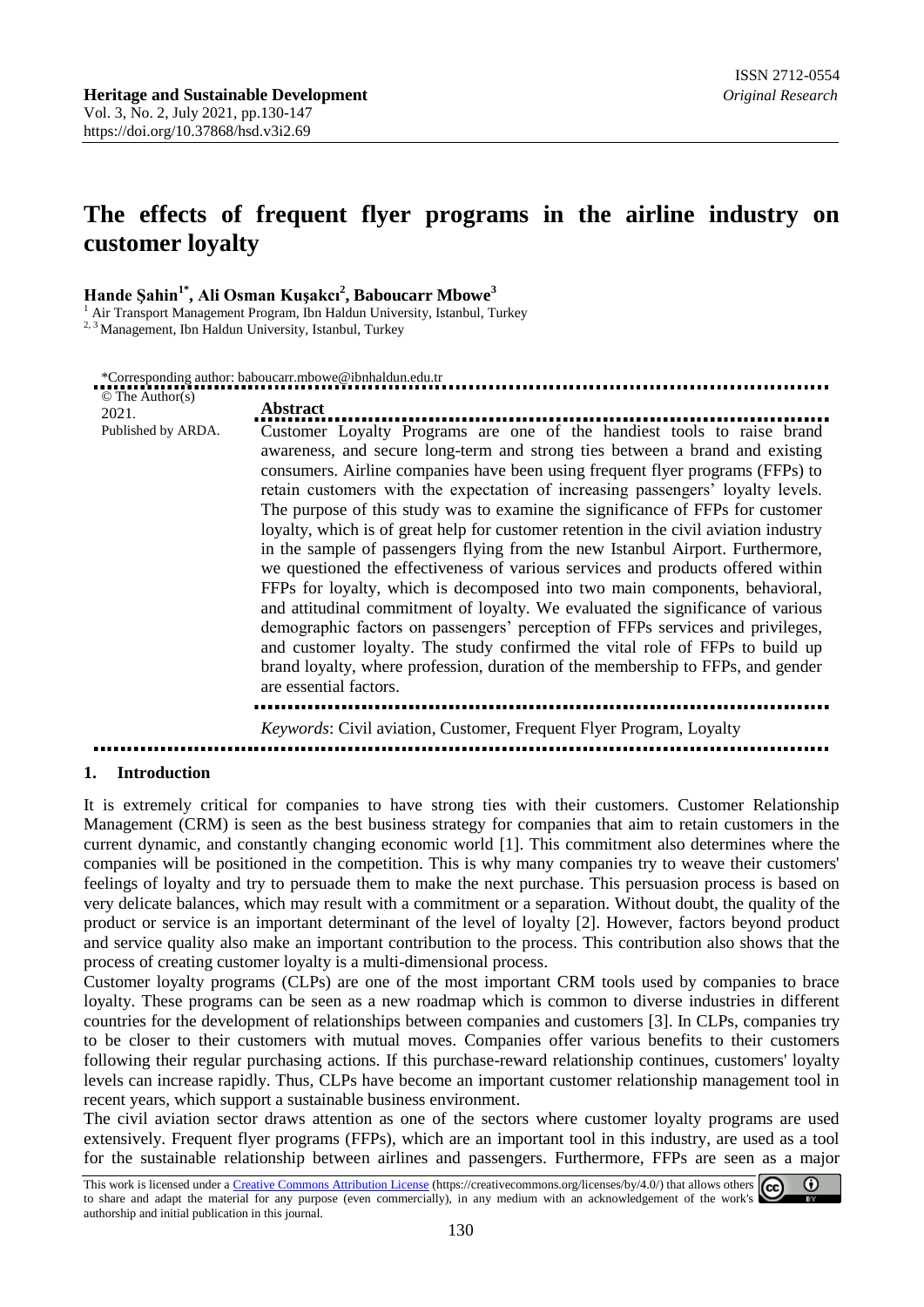$\odot$ 

# **The effects of frequent flyer programs in the airline industry on customer loyalty**

## **Hande Şahin1\* , Ali Osman Kuşakcı 2 , Baboucarr Mbowe<sup>3</sup>**

<sup>1</sup> Air Transport Management Program, Ibn Haldun University, Istanbul, Turkey

<sup>2, 3</sup> Management, Ibn Haldun University, Istanbul, Turkey

\*Corresponding author: baboucarr.mbowe@ibnhaldun.edu.tr

| $\circ$ The Author(s)<br>2021. | <b>Abstract</b>                                                                                                                                                                                                                                                                                                                                                                                                                                                                                                                                                                                                                                                                                                                                                                                                                                                                                                                                                                                                                                                                                                              |
|--------------------------------|------------------------------------------------------------------------------------------------------------------------------------------------------------------------------------------------------------------------------------------------------------------------------------------------------------------------------------------------------------------------------------------------------------------------------------------------------------------------------------------------------------------------------------------------------------------------------------------------------------------------------------------------------------------------------------------------------------------------------------------------------------------------------------------------------------------------------------------------------------------------------------------------------------------------------------------------------------------------------------------------------------------------------------------------------------------------------------------------------------------------------|
| Published by ARDA.             | Customer Loyalty Programs are one of the handiest tools to raise brand<br>awareness, and secure long-term and strong ties between a brand and existing<br>consumers. Airline companies have been using frequent flyer programs (FFPs) to<br>retain customers with the expectation of increasing passengers' loyalty levels.<br>The purpose of this study was to examine the significance of FFPs for customer<br>loyalty, which is of great help for customer retention in the civil aviation industry<br>in the sample of passengers flying from the new Istanbul Airport. Furthermore,<br>we questioned the effectiveness of various services and products offered within<br>FFPs for loyalty, which is decomposed into two main components, behavioral,<br>and attitudinal commitment of loyalty. We evaluated the significance of various<br>demographic factors on passengers' perception of FFPs services and privileges,<br>and customer loyalty. The study confirmed the vital role of FFPs to build up<br>brand loyalty, where profession, duration of the membership to FFPs, and gender<br>are essential factors. |
|                                | <i>Keywords:</i> Civil aviation, Customer, Frequent Flyer Program, Loyalty                                                                                                                                                                                                                                                                                                                                                                                                                                                                                                                                                                                                                                                                                                                                                                                                                                                                                                                                                                                                                                                   |

#### **1. Introduction**

It is extremely critical for companies to have strong ties with their customers. Customer Relationship Management (CRM) is seen as the best business strategy for companies that aim to retain customers in the current dynamic, and constantly changing economic world [1]. This commitment also determines where the companies will be positioned in the competition. This is why many companies try to weave their customers' feelings of loyalty and try to persuade them to make the next purchase. This persuasion process is based on very delicate balances, which may result with a commitment or a separation. Without doubt, the quality of the product or service is an important determinant of the level of loyalty [2]. However, factors beyond product and service quality also make an important contribution to the process. This contribution also shows that the process of creating customer loyalty is a multi-dimensional process.

Customer loyalty programs (CLPs) are one of the most important CRM tools used by companies to brace loyalty. These programs can be seen as a new roadmap which is common to diverse industries in different countries for the development of relationships between companies and customers [3]. In CLPs, companies try to be closer to their customers with mutual moves. Companies offer various benefits to their customers following their regular purchasing actions. If this purchase-reward relationship continues, customers' loyalty levels can increase rapidly. Thus, CLPs have become an important customer relationship management tool in recent years, which support a sustainable business environment.

The civil aviation sector draws attention as one of the sectors where customer loyalty programs are used extensively. Frequent flyer programs (FFPs), which are an important tool in this industry, are used as a tool for the sustainable relationship between airlines and passengers. Furthermore, FFPs are seen as a major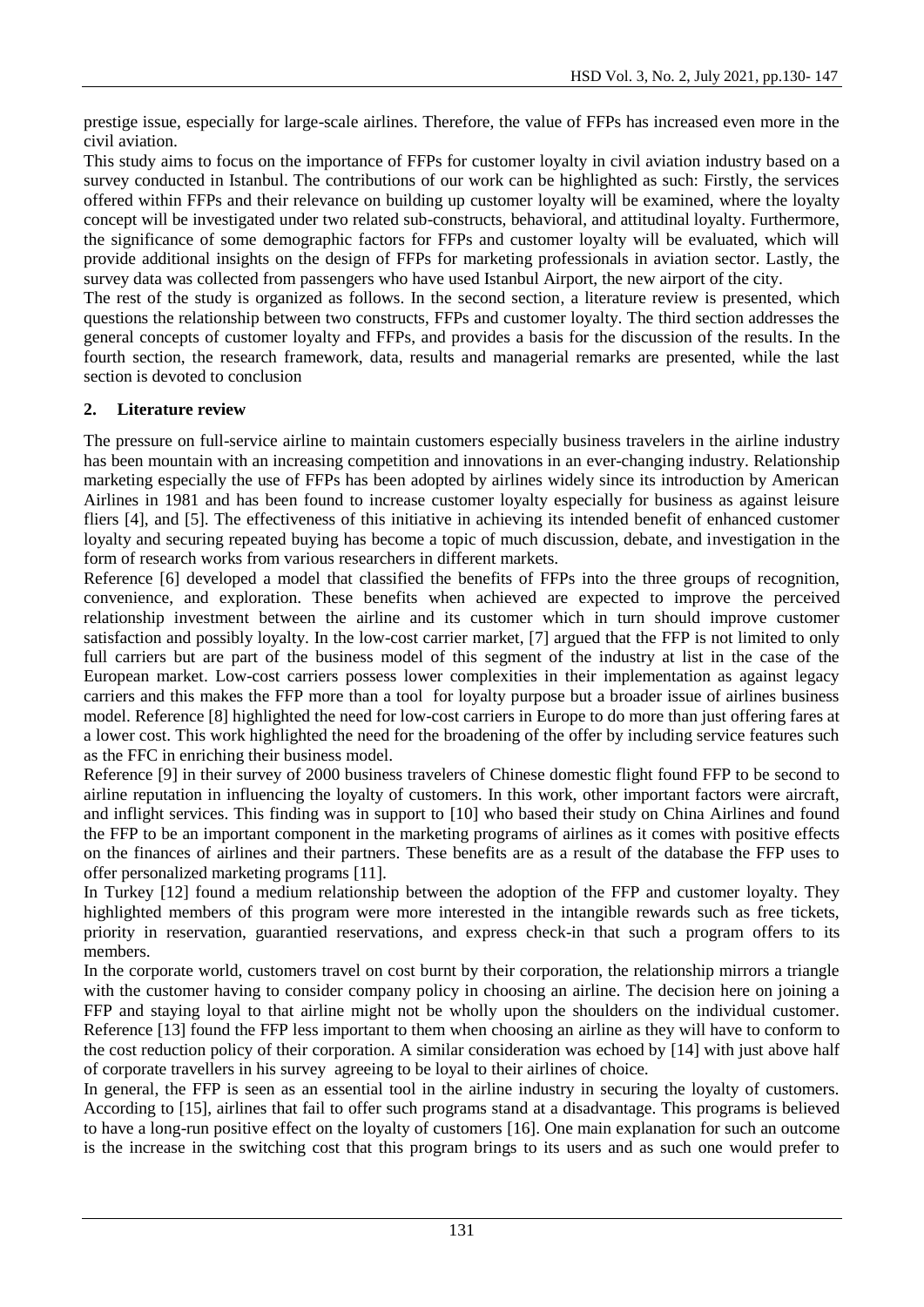prestige issue, especially for large-scale airlines. Therefore, the value of FFPs has increased even more in the civil aviation.

This study aims to focus on the importance of FFPs for customer loyalty in civil aviation industry based on a survey conducted in Istanbul. The contributions of our work can be highlighted as such: Firstly, the services offered within FFPs and their relevance on building up customer loyalty will be examined, where the loyalty concept will be investigated under two related sub-constructs, behavioral, and attitudinal loyalty. Furthermore, the significance of some demographic factors for FFPs and customer loyalty will be evaluated, which will provide additional insights on the design of FFPs for marketing professionals in aviation sector. Lastly, the survey data was collected from passengers who have used Istanbul Airport, the new airport of the city.

The rest of the study is organized as follows. In the second section, a literature review is presented, which questions the relationship between two constructs, FFPs and customer loyalty. The third section addresses the general concepts of customer loyalty and FFPs, and provides a basis for the discussion of the results. In the fourth section, the research framework, data, results and managerial remarks are presented, while the last section is devoted to conclusion

## **2. Literature review**

The pressure on full-service airline to maintain customers especially business travelers in the airline industry has been mountain with an increasing competition and innovations in an ever-changing industry. Relationship marketing especially the use of FFPs has been adopted by airlines widely since its introduction by American Airlines in 1981 and has been found to increase customer loyalty especially for business as against leisure fliers [4], and [5]. The effectiveness of this initiative in achieving its intended benefit of enhanced customer loyalty and securing repeated buying has become a topic of much discussion, debate, and investigation in the form of research works from various researchers in different markets.

Reference [6] developed a model that classified the benefits of FFPs into the three groups of recognition, convenience, and exploration. These benefits when achieved are expected to improve the perceived relationship investment between the airline and its customer which in turn should improve customer satisfaction and possibly loyalty. In the low-cost carrier market, [7] argued that the FFP is not limited to only full carriers but are part of the business model of this segment of the industry at list in the case of the European market. Low-cost carriers possess lower complexities in their implementation as against legacy carriers and this makes the FFP more than a tool for loyalty purpose but a broader issue of airlines business model. Reference [8] highlighted the need for low-cost carriers in Europe to do more than just offering fares at a lower cost. This work highlighted the need for the broadening of the offer by including service features such as the FFC in enriching their business model.

Reference [9] in their survey of 2000 business travelers of Chinese domestic flight found FFP to be second to airline reputation in influencing the loyalty of customers. In this work, other important factors were aircraft, and inflight services. This finding was in support to [10] who based their study on China Airlines and found the FFP to be an important component in the marketing programs of airlines as it comes with positive effects on the finances of airlines and their partners. These benefits are as a result of the database the FFP uses to offer personalized marketing programs [11].

In Turkey [12] found a medium relationship between the adoption of the FFP and customer loyalty. They highlighted members of this program were more interested in the intangible rewards such as free tickets, priority in reservation, guarantied reservations, and express check-in that such a program offers to its members.

In the corporate world, customers travel on cost burnt by their corporation, the relationship mirrors a triangle with the customer having to consider company policy in choosing an airline. The decision here on joining a FFP and staying loyal to that airline might not be wholly upon the shoulders on the individual customer. Reference [13] found the FFP less important to them when choosing an airline as they will have to conform to the cost reduction policy of their corporation. A similar consideration was echoed by [14] with just above half of corporate travellers in his survey agreeing to be loyal to their airlines of choice.

In general, the FFP is seen as an essential tool in the airline industry in securing the loyalty of customers. According to [15], airlines that fail to offer such programs stand at a disadvantage. This programs is believed to have a long-run positive effect on the loyalty of customers [16]. One main explanation for such an outcome is the increase in the switching cost that this program brings to its users and as such one would prefer to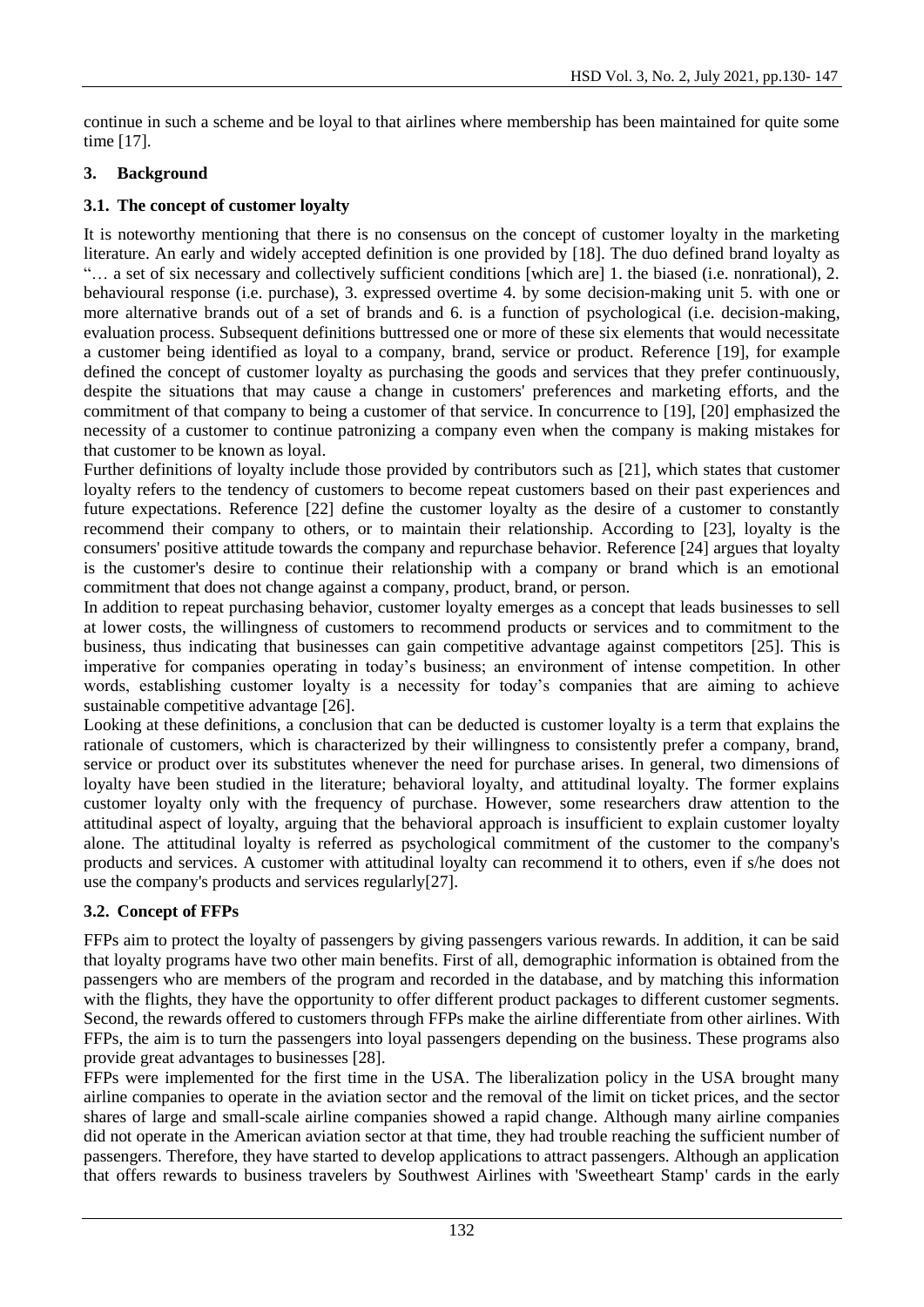continue in such a scheme and be loyal to that airlines where membership has been maintained for quite some time [17].

## **3. Background**

## **3.1. The concept of customer loyalty**

It is noteworthy mentioning that there is no consensus on the concept of customer loyalty in the marketing literature. An early and widely accepted definition is one provided by [18]. The duo defined brand loyalty as "… a set of six necessary and collectively sufficient conditions [which are] 1. the biased (i.e. nonrational), 2. behavioural response (i.e. purchase), 3. expressed overtime 4. by some decision-making unit 5. with one or more alternative brands out of a set of brands and 6. is a function of psychological (i.e. decision-making, evaluation process. Subsequent definitions buttressed one or more of these six elements that would necessitate a customer being identified as loyal to a company, brand, service or product. Reference [19], for example defined the concept of customer loyalty as purchasing the goods and services that they prefer continuously, despite the situations that may cause a change in customers' preferences and marketing efforts, and the commitment of that company to being a customer of that service. In concurrence to [19], [20] emphasized the necessity of a customer to continue patronizing a company even when the company is making mistakes for that customer to be known as loyal.

Further definitions of loyalty include those provided by contributors such as [21], which states that customer loyalty refers to the tendency of customers to become repeat customers based on their past experiences and future expectations. Reference [22] define the customer loyalty as the desire of a customer to constantly recommend their company to others, or to maintain their relationship. According to [23], loyalty is the consumers' positive attitude towards the company and repurchase behavior. Reference [24] argues that loyalty is the customer's desire to continue their relationship with a company or brand which is an emotional commitment that does not change against a company, product, brand, or person.

In addition to repeat purchasing behavior, customer loyalty emerges as a concept that leads businesses to sell at lower costs, the willingness of customers to recommend products or services and to commitment to the business, thus indicating that businesses can gain competitive advantage against competitors [25]. This is imperative for companies operating in today's business; an environment of intense competition. In other words, establishing customer loyalty is a necessity for today's companies that are aiming to achieve sustainable competitive advantage [26].

Looking at these definitions, a conclusion that can be deducted is customer loyalty is a term that explains the rationale of customers, which is characterized by their willingness to consistently prefer a company, brand, service or product over its substitutes whenever the need for purchase arises. In general, two dimensions of loyalty have been studied in the literature; behavioral loyalty, and attitudinal loyalty. The former explains customer loyalty only with the frequency of purchase. However, some researchers draw attention to the attitudinal aspect of loyalty, arguing that the behavioral approach is insufficient to explain customer loyalty alone. The attitudinal loyalty is referred as psychological commitment of the customer to the company's products and services. A customer with attitudinal loyalty can recommend it to others, even if s/he does not use the company's products and services regularly[27].

## **3.2. Concept of FFPs**

FFPs aim to protect the loyalty of passengers by giving passengers various rewards. In addition, it can be said that loyalty programs have two other main benefits. First of all, demographic information is obtained from the passengers who are members of the program and recorded in the database, and by matching this information with the flights, they have the opportunity to offer different product packages to different customer segments. Second, the rewards offered to customers through FFPs make the airline differentiate from other airlines. With FFPs, the aim is to turn the passengers into loyal passengers depending on the business. These programs also provide great advantages to businesses [28].

FFPs were implemented for the first time in the USA. The liberalization policy in the USA brought many airline companies to operate in the aviation sector and the removal of the limit on ticket prices, and the sector shares of large and small-scale airline companies showed a rapid change. Although many airline companies did not operate in the American aviation sector at that time, they had trouble reaching the sufficient number of passengers. Therefore, they have started to develop applications to attract passengers. Although an application that offers rewards to business travelers by Southwest Airlines with 'Sweetheart Stamp' cards in the early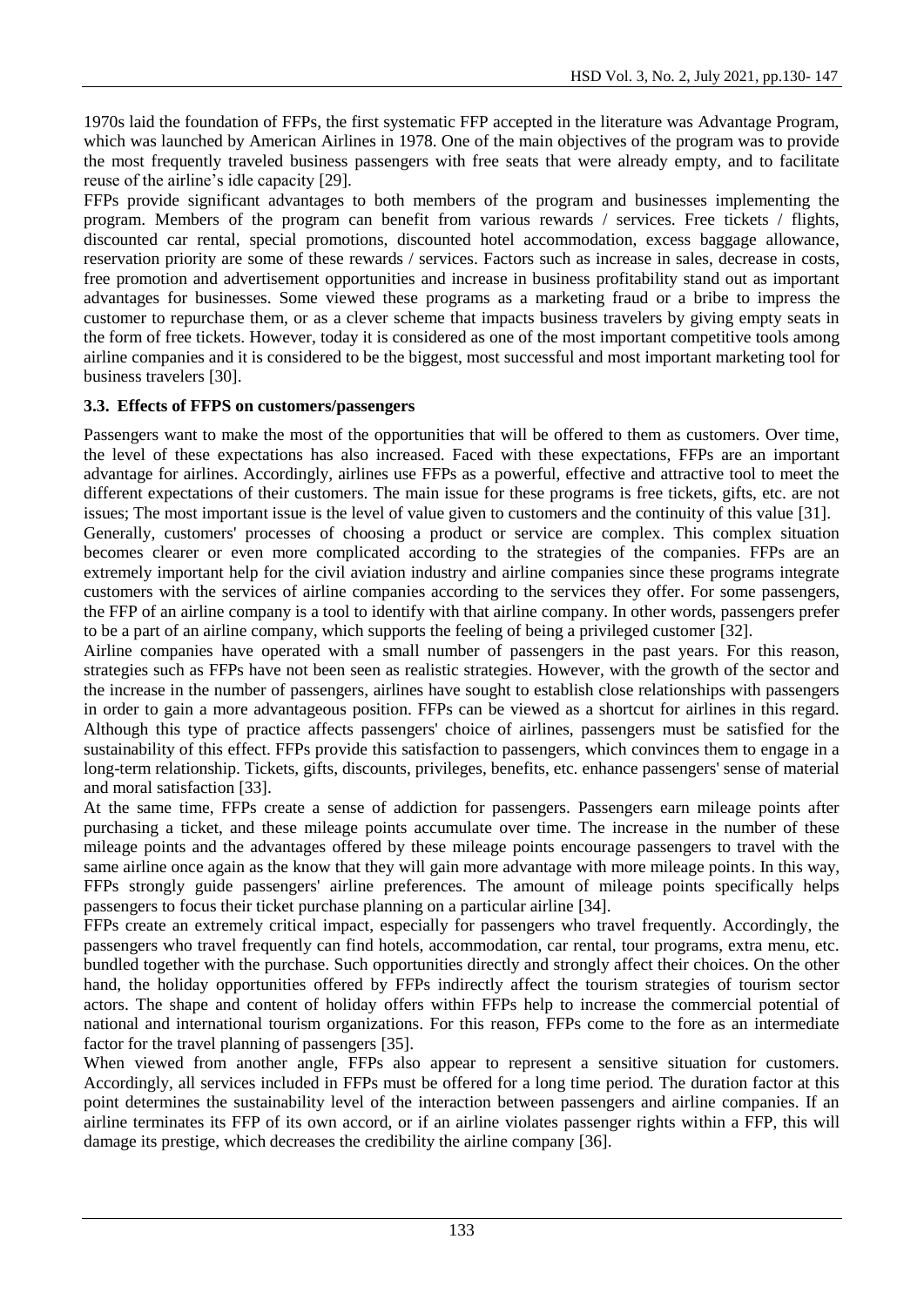1970s laid the foundation of FFPs, the first systematic FFP accepted in the literature was Advantage Program, which was launched by American Airlines in 1978. One of the main objectives of the program was to provide the most frequently traveled business passengers with free seats that were already empty, and to facilitate reuse of the airline's idle capacity [29].

FFPs provide significant advantages to both members of the program and businesses implementing the program. Members of the program can benefit from various rewards / services. Free tickets / flights, discounted car rental, special promotions, discounted hotel accommodation, excess baggage allowance, reservation priority are some of these rewards / services. Factors such as increase in sales, decrease in costs, free promotion and advertisement opportunities and increase in business profitability stand out as important advantages for businesses. Some viewed these programs as a marketing fraud or a bribe to impress the customer to repurchase them, or as a clever scheme that impacts business travelers by giving empty seats in the form of free tickets. However, today it is considered as one of the most important competitive tools among airline companies and it is considered to be the biggest, most successful and most important marketing tool for business travelers [30].

## **3.3. Effects of FFPS on customers/passengers**

Passengers want to make the most of the opportunities that will be offered to them as customers. Over time, the level of these expectations has also increased. Faced with these expectations, FFPs are an important advantage for airlines. Accordingly, airlines use FFPs as a powerful, effective and attractive tool to meet the different expectations of their customers. The main issue for these programs is free tickets, gifts, etc. are not issues; The most important issue is the level of value given to customers and the continuity of this value [31].

Generally, customers' processes of choosing a product or service are complex. This complex situation becomes clearer or even more complicated according to the strategies of the companies. FFPs are an extremely important help for the civil aviation industry and airline companies since these programs integrate customers with the services of airline companies according to the services they offer. For some passengers, the FFP of an airline company is a tool to identify with that airline company. In other words, passengers prefer to be a part of an airline company, which supports the feeling of being a privileged customer [32].

Airline companies have operated with a small number of passengers in the past years. For this reason, strategies such as FFPs have not been seen as realistic strategies. However, with the growth of the sector and the increase in the number of passengers, airlines have sought to establish close relationships with passengers in order to gain a more advantageous position. FFPs can be viewed as a shortcut for airlines in this regard. Although this type of practice affects passengers' choice of airlines, passengers must be satisfied for the sustainability of this effect. FFPs provide this satisfaction to passengers, which convinces them to engage in a long-term relationship. Tickets, gifts, discounts, privileges, benefits, etc. enhance passengers' sense of material and moral satisfaction [33].

At the same time, FFPs create a sense of addiction for passengers. Passengers earn mileage points after purchasing a ticket, and these mileage points accumulate over time. The increase in the number of these mileage points and the advantages offered by these mileage points encourage passengers to travel with the same airline once again as the know that they will gain more advantage with more mileage points. In this way, FFPs strongly guide passengers' airline preferences. The amount of mileage points specifically helps passengers to focus their ticket purchase planning on a particular airline [34].

FFPs create an extremely critical impact, especially for passengers who travel frequently. Accordingly, the passengers who travel frequently can find hotels, accommodation, car rental, tour programs, extra menu, etc. bundled together with the purchase. Such opportunities directly and strongly affect their choices. On the other hand, the holiday opportunities offered by FFPs indirectly affect the tourism strategies of tourism sector actors. The shape and content of holiday offers within FFPs help to increase the commercial potential of national and international tourism organizations. For this reason, FFPs come to the fore as an intermediate factor for the travel planning of passengers [35].

When viewed from another angle. FFPs also appear to represent a sensitive situation for customers. Accordingly, all services included in FFPs must be offered for a long time period. The duration factor at this point determines the sustainability level of the interaction between passengers and airline companies. If an airline terminates its FFP of its own accord, or if an airline violates passenger rights within a FFP, this will damage its prestige, which decreases the credibility the airline company [36].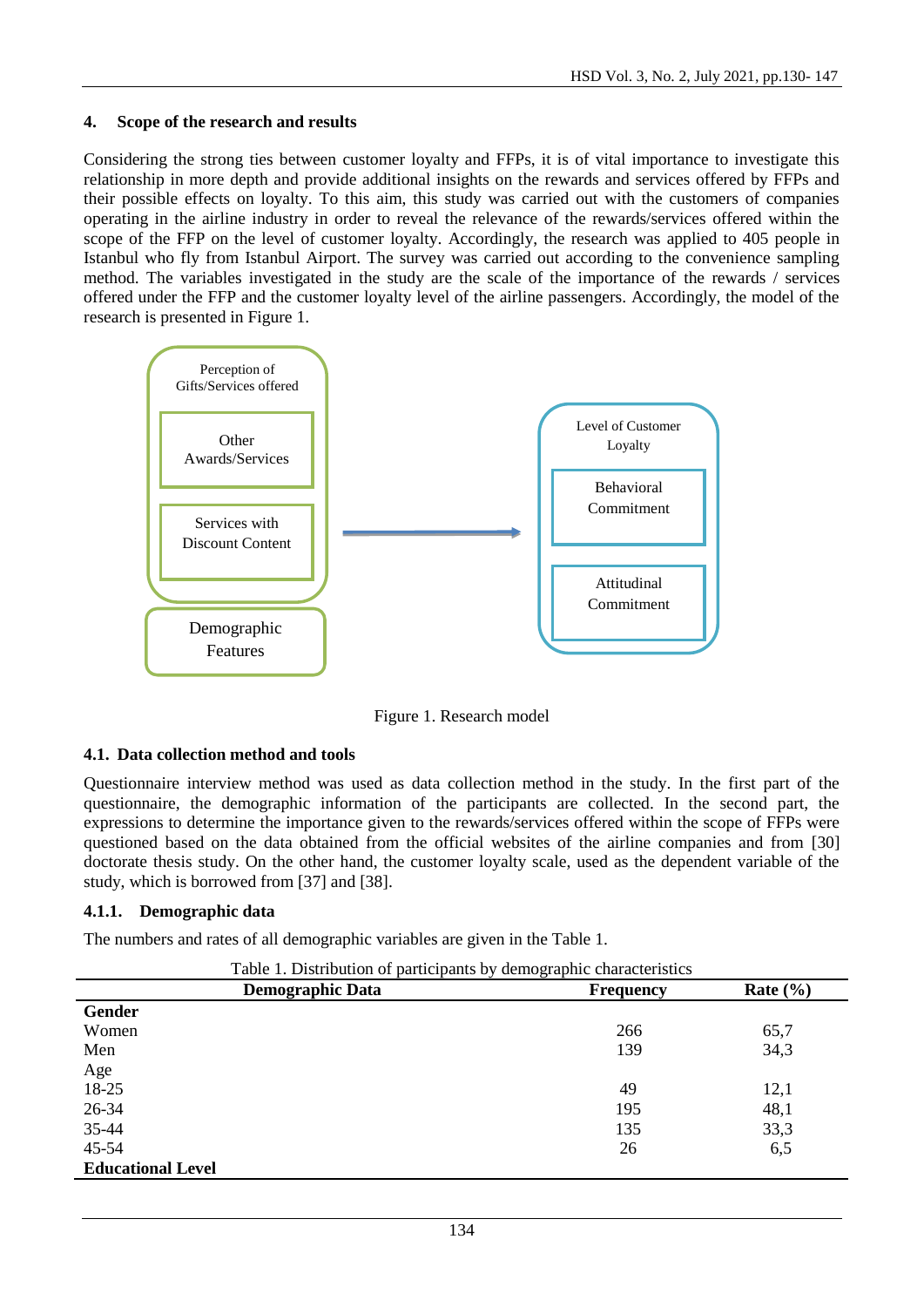### **4. Scope of the research and results**

Considering the strong ties between customer loyalty and FFPs, it is of vital importance to investigate this relationship in more depth and provide additional insights on the rewards and services offered by FFPs and their possible effects on loyalty. To this aim, this study was carried out with the customers of companies operating in the airline industry in order to reveal the relevance of the rewards/services offered within the scope of the FFP on the level of customer loyalty. Accordingly, the research was applied to 405 people in Istanbul who fly from Istanbul Airport. The survey was carried out according to the convenience sampling method. The variables investigated in the study are the scale of the importance of the rewards / services offered under the FFP and the customer loyalty level of the airline passengers. Accordingly, the model of the research is presented in Figure 1.



Figure 1. Research model

#### **4.1. Data collection method and tools**

Questionnaire interview method was used as data collection method in the study. In the first part of the questionnaire, the demographic information of the participants are collected. In the second part, the expressions to determine the importance given to the rewards/services offered within the scope of FFPs were questioned based on the data obtained from the official websites of the airline companies and from [30] doctorate thesis study. On the other hand, the customer loyalty scale, used as the dependent variable of the study, which is borrowed from [37] and [38].

#### **4.1.1. Demographic data**

The numbers and rates of all demographic variables are given in the Table 1.

| <b>Demographic Data</b>  | <b>Frequency</b> | Rate $(\% )$ |
|--------------------------|------------------|--------------|
| Gender                   |                  |              |
| Women                    | 266              | 65,7         |
| Men                      | 139              | 34,3         |
| Age                      |                  |              |
| 18-25                    | 49               | 12,1         |
| 26-34                    | 195              | 48,1         |
| 35-44                    | 135              | 33,3         |
| 45-54                    | 26               | 6,5          |
| <b>Educational Level</b> |                  |              |

Table 1. Distribution of participants by demographic characteristics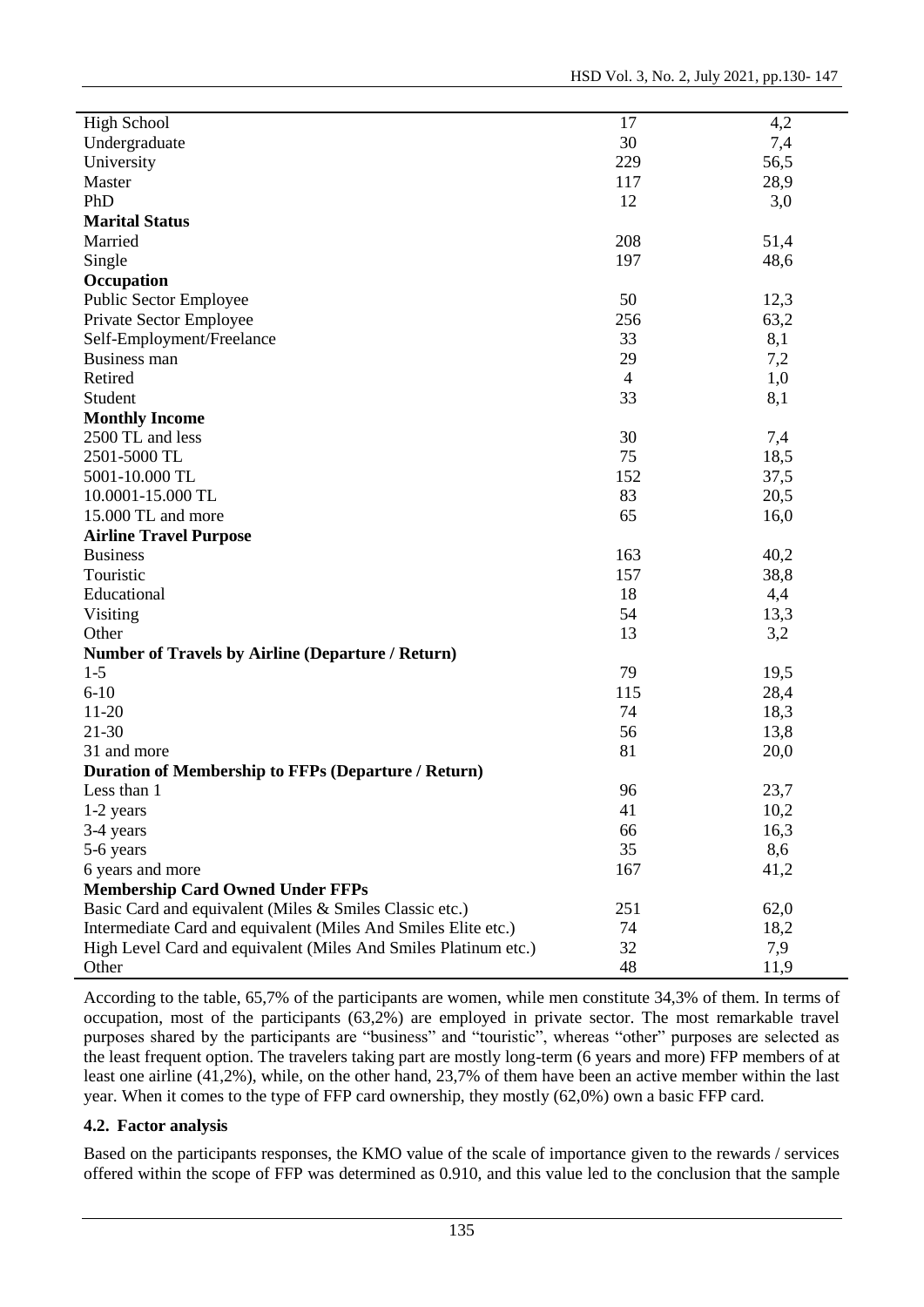| <b>High School</b>                                                                                                        | 17             | 4,2  |
|---------------------------------------------------------------------------------------------------------------------------|----------------|------|
| Undergraduate                                                                                                             | 30             | 7,4  |
| University                                                                                                                | 229            | 56,5 |
| Master                                                                                                                    | 117            | 28,9 |
| PhD                                                                                                                       | 12             | 3,0  |
| <b>Marital Status</b>                                                                                                     |                |      |
| Married                                                                                                                   | 208            | 51,4 |
| Single                                                                                                                    | 197            | 48,6 |
| Occupation                                                                                                                |                |      |
| Public Sector Employee                                                                                                    | 50             | 12,3 |
| Private Sector Employee                                                                                                   | 256            | 63,2 |
| Self-Employment/Freelance                                                                                                 | 33             | 8,1  |
| Business man                                                                                                              | 29             | 7,2  |
| Retired                                                                                                                   | $\overline{4}$ | 1,0  |
| Student                                                                                                                   | 33             | 8,1  |
| <b>Monthly Income</b>                                                                                                     |                |      |
| 2500 TL and less                                                                                                          | 30             | 7,4  |
| 2501-5000 TL                                                                                                              | 75             | 18,5 |
| 5001-10.000 TL                                                                                                            | 152            | 37,5 |
| 10.0001-15.000 TL                                                                                                         | 83             | 20,5 |
| 15.000 TL and more                                                                                                        | 65             | 16,0 |
| <b>Airline Travel Purpose</b>                                                                                             |                |      |
| <b>Business</b>                                                                                                           | 163            | 40,2 |
| Touristic                                                                                                                 | 157            | 38,8 |
| Educational                                                                                                               | 18             | 4,4  |
| Visiting                                                                                                                  | 54             | 13,3 |
| Other                                                                                                                     | 13             | 3,2  |
| <b>Number of Travels by Airline (Departure / Return)</b>                                                                  |                |      |
| $1 - 5$                                                                                                                   | 79             | 19,5 |
| $6 - 10$                                                                                                                  | 115            | 28,4 |
| $11-20$                                                                                                                   | 74             | 18,3 |
| $21 - 30$                                                                                                                 | 56             | 13,8 |
| 31 and more                                                                                                               | 81             | 20,0 |
| <b>Duration of Membership to FFPs (Departure / Return)</b>                                                                |                |      |
| Less than 1                                                                                                               | 96             | 23,7 |
| 1-2 years                                                                                                                 | 41             | 10,2 |
| 3-4 years                                                                                                                 | 66             | 16,3 |
| 5-6 years                                                                                                                 | 35             | 8,6  |
| 6 years and more                                                                                                          | 167            | 41,2 |
| <b>Membership Card Owned Under FFPs</b>                                                                                   |                |      |
|                                                                                                                           | 251            | 62,0 |
| Basic Card and equivalent (Miles & Smiles Classic etc.)<br>Intermediate Card and equivalent (Miles And Smiles Elite etc.) | 74             | 18,2 |
| High Level Card and equivalent (Miles And Smiles Platinum etc.)                                                           | 32             | 7,9  |
| Other                                                                                                                     | 48             | 11,9 |
|                                                                                                                           |                |      |

According to the table, 65,7% of the participants are women, while men constitute 34,3% of them. In terms of occupation, most of the participants (63,2%) are employed in private sector. The most remarkable travel purposes shared by the participants are "business" and "touristic", whereas "other" purposes are selected as the least frequent option. The travelers taking part are mostly long-term (6 years and more) FFP members of at least one airline (41,2%), while, on the other hand, 23,7% of them have been an active member within the last year. When it comes to the type of FFP card ownership, they mostly (62,0%) own a basic FFP card.

## **4.2. Factor analysis**

Based on the participants responses, the KMO value of the scale of importance given to the rewards / services offered within the scope of FFP was determined as 0.910, and this value led to the conclusion that the sample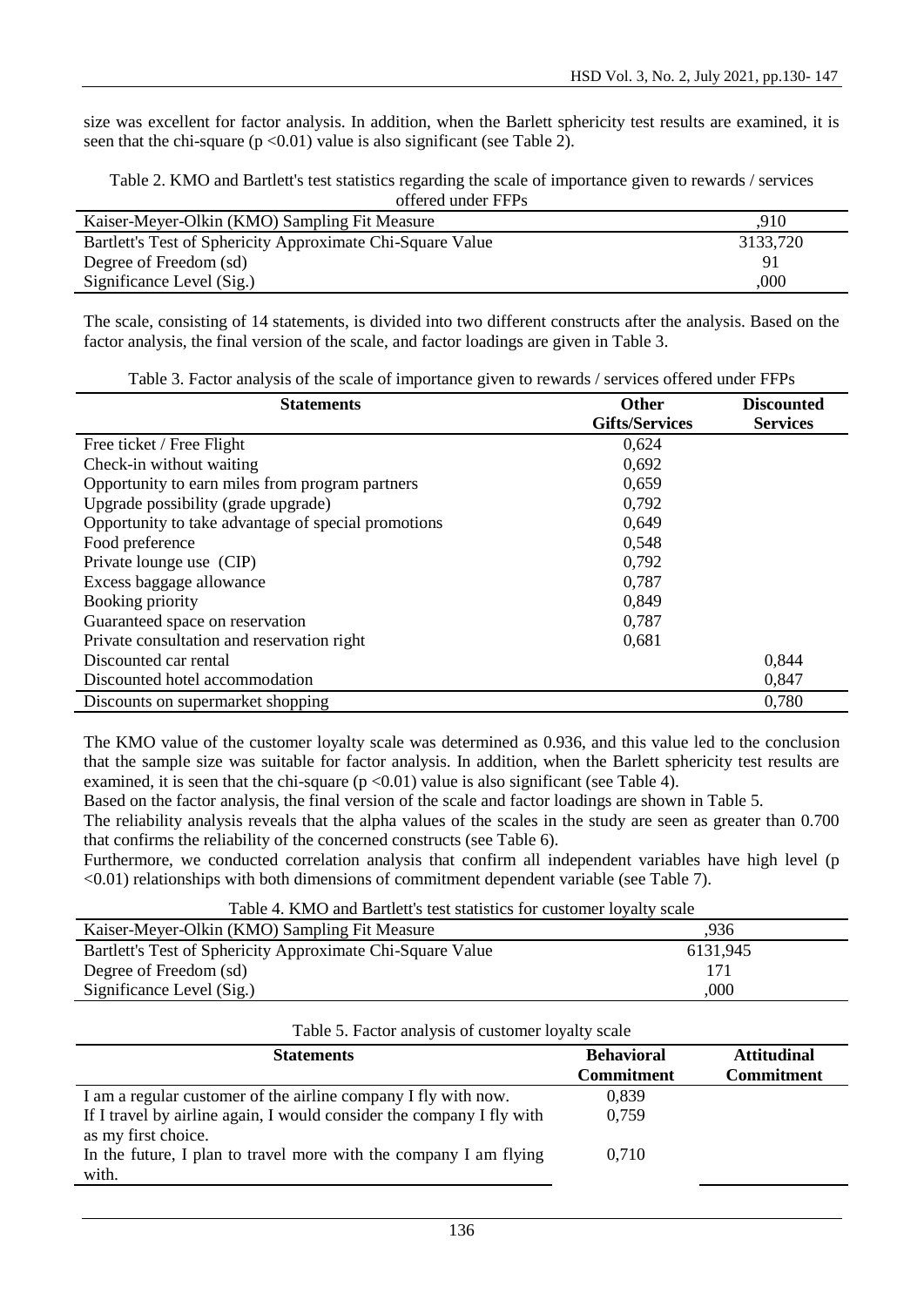size was excellent for factor analysis. In addition, when the Barlett sphericity test results are examined, it is seen that the chi-square  $(p < 0.01)$  value is also significant (see Table 2).

Table 2. KMO and Bartlett's test statistics regarding the scale of importance given to rewards / services offered under FFPs

| Kaiser-Meyer-Olkin (KMO) Sampling Fit Measure              | .910     |
|------------------------------------------------------------|----------|
| Bartlett's Test of Sphericity Approximate Chi-Square Value | 3133,720 |
| Degree of Freedom (sd)                                     |          |
| Significance Level (Sig.)                                  | .000     |

The scale, consisting of 14 statements, is divided into two different constructs after the analysis. Based on the factor analysis, the final version of the scale, and factor loadings are given in Table 3.

| $\mathcal{L}$ . There is a set of the settle of importance $\mathcal{L}$ . We set these sections who |                       |                   |  |  |
|------------------------------------------------------------------------------------------------------|-----------------------|-------------------|--|--|
| <b>Statements</b>                                                                                    | <b>Other</b>          | <b>Discounted</b> |  |  |
|                                                                                                      | <b>Gifts/Services</b> | <b>Services</b>   |  |  |
| Free ticket / Free Flight                                                                            | 0,624                 |                   |  |  |
| Check-in without waiting                                                                             | 0,692                 |                   |  |  |
| Opportunity to earn miles from program partners                                                      | 0,659                 |                   |  |  |
| Upgrade possibility (grade upgrade)                                                                  | 0,792                 |                   |  |  |
| Opportunity to take advantage of special promotions                                                  | 0,649                 |                   |  |  |
| Food preference                                                                                      | 0,548                 |                   |  |  |
| Private lounge use (CIP)                                                                             | 0,792                 |                   |  |  |
| Excess baggage allowance                                                                             | 0,787                 |                   |  |  |
| Booking priority                                                                                     | 0,849                 |                   |  |  |
| Guaranteed space on reservation                                                                      | 0,787                 |                   |  |  |
| Private consultation and reservation right                                                           | 0,681                 |                   |  |  |
| Discounted car rental                                                                                |                       | 0,844             |  |  |
| Discounted hotel accommodation                                                                       |                       | 0,847             |  |  |
| Discounts on supermarket shopping                                                                    |                       | 0,780             |  |  |

Table 3. Factor analysis of the scale of importance given to rewards / services offered under FFPs

The KMO value of the customer loyalty scale was determined as 0.936, and this value led to the conclusion that the sample size was suitable for factor analysis. In addition, when the Barlett sphericity test results are examined, it is seen that the chi-square  $(p < 0.01)$  value is also significant (see Table 4).

Based on the factor analysis, the final version of the scale and factor loadings are shown in Table 5.

The reliability analysis reveals that the alpha values of the scales in the study are seen as greater than 0.700 that confirms the reliability of the concerned constructs (see Table 6).

Furthermore, we conducted correlation analysis that confirm all independent variables have high level (p <0.01) relationships with both dimensions of commitment dependent variable (see Table 7).

| Table 4. KNO and Bartlett's test statistics for customer loyalty scale |          |  |  |  |
|------------------------------------------------------------------------|----------|--|--|--|
| Kaiser-Meyer-Olkin (KMO) Sampling Fit Measure                          | .936     |  |  |  |
| Bartlett's Test of Sphericity Approximate Chi-Square Value             | 6131,945 |  |  |  |
| Degree of Freedom (sd)                                                 |          |  |  |  |
| Significance Level (Sig.)                                              | .000     |  |  |  |
|                                                                        |          |  |  |  |

Table 4. KMO and Bartlett's test statistics for customer loyalty scale

| Table 5. Factor analysis of customer loyalty scale                                           |                                        |                                         |  |  |
|----------------------------------------------------------------------------------------------|----------------------------------------|-----------------------------------------|--|--|
| <b>Statements</b>                                                                            | <b>Behavioral</b><br><b>Commitment</b> | <b>Attitudinal</b><br><b>Commitment</b> |  |  |
| I am a regular customer of the airline company I fly with now.                               | 0,839                                  |                                         |  |  |
| If I travel by airline again, I would consider the company I fly with<br>as my first choice. | 0.759                                  |                                         |  |  |
| In the future, I plan to travel more with the company I am flying<br>with.                   | 0.710                                  |                                         |  |  |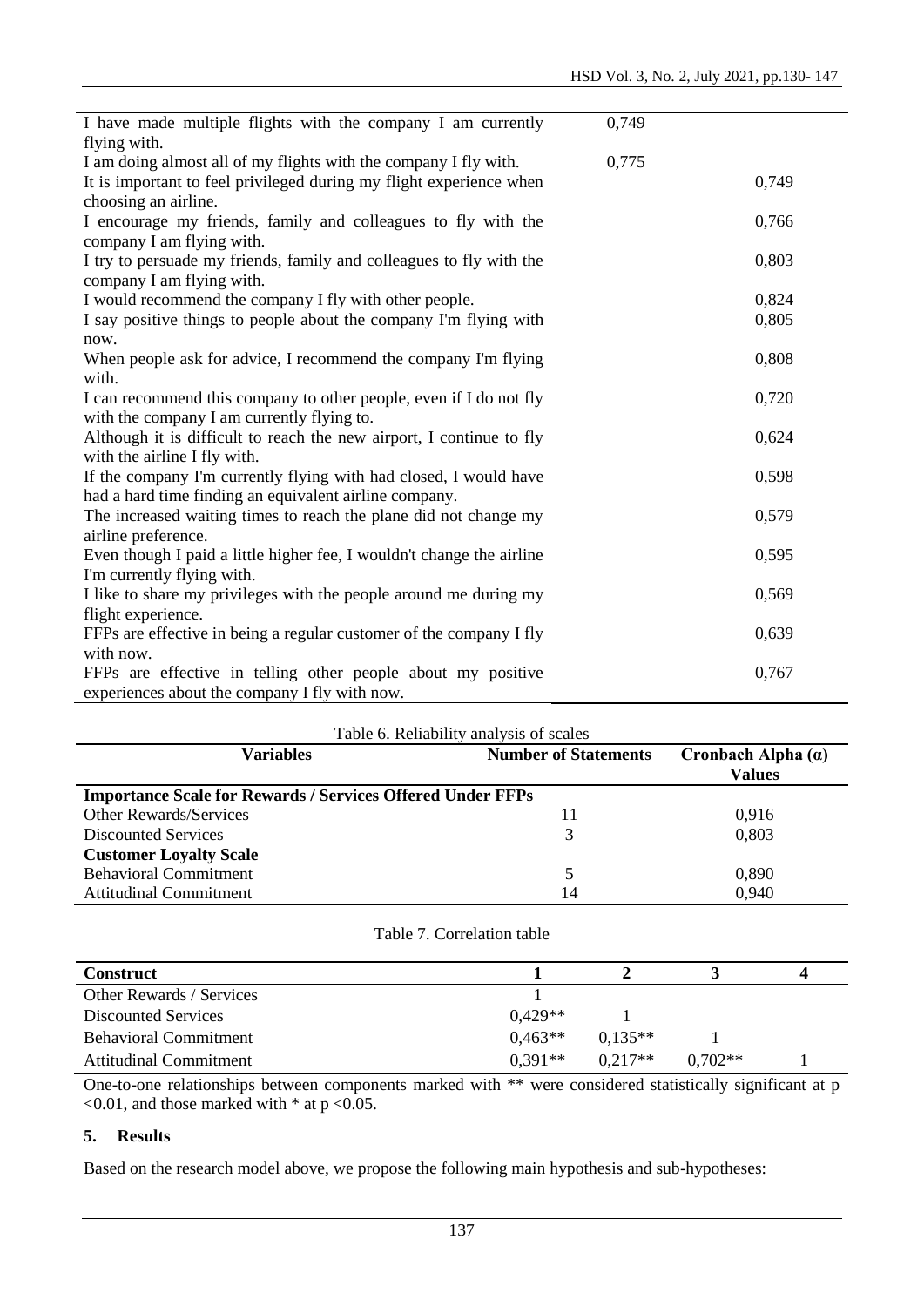| I have made multiple flights with the company I am currently          | 0,749 |       |
|-----------------------------------------------------------------------|-------|-------|
| flying with.                                                          |       |       |
| I am doing almost all of my flights with the company I fly with.      | 0,775 |       |
| It is important to feel privileged during my flight experience when   |       | 0,749 |
| choosing an airline.                                                  |       |       |
| I encourage my friends, family and colleagues to fly with the         |       | 0,766 |
| company I am flying with.                                             |       |       |
| I try to persuade my friends, family and colleagues to fly with the   |       | 0,803 |
| company I am flying with.                                             |       |       |
| I would recommend the company I fly with other people.                |       | 0,824 |
| I say positive things to people about the company I'm flying with     |       | 0,805 |
| now.                                                                  |       |       |
| When people ask for advice, I recommend the company I'm flying        |       | 0,808 |
| with.                                                                 |       |       |
| I can recommend this company to other people, even if I do not fly    |       | 0,720 |
| with the company I am currently flying to.                            |       |       |
| Although it is difficult to reach the new airport, I continue to fly  |       | 0,624 |
| with the airline I fly with.                                          |       |       |
| If the company I'm currently flying with had closed, I would have     |       | 0,598 |
| had a hard time finding an equivalent airline company.                |       |       |
| The increased waiting times to reach the plane did not change my      |       | 0,579 |
| airline preference.                                                   |       |       |
| Even though I paid a little higher fee, I wouldn't change the airline |       | 0,595 |
| I'm currently flying with.                                            |       |       |
| I like to share my privileges with the people around me during my     |       | 0,569 |
| flight experience.                                                    |       |       |
| FFPs are effective in being a regular customer of the company I fly   |       | 0,639 |
| with now.                                                             |       |       |
| FFPs are effective in telling other people about my positive          |       | 0,767 |
| experiences about the company I fly with now.                         |       |       |
|                                                                       |       |       |

| Table 6. Reliability analysis of scales                           |                                       |       |  |  |  |
|-------------------------------------------------------------------|---------------------------------------|-------|--|--|--|
| <b>Variables</b>                                                  | Cronbach Alpha $(a)$<br><b>Values</b> |       |  |  |  |
| <b>Importance Scale for Rewards / Services Offered Under FFPs</b> |                                       |       |  |  |  |
| <b>Other Rewards/Services</b>                                     | 11                                    | 0.916 |  |  |  |
| Discounted Services                                               |                                       | 0,803 |  |  |  |
| <b>Customer Loyalty Scale</b>                                     |                                       |       |  |  |  |
| <b>Behavioral Commitment</b>                                      |                                       | 0,890 |  |  |  |
| <b>Attitudinal Commitment</b>                                     | 14                                    | 0,940 |  |  |  |

## Table 7. Correlation table

| <b>Construct</b>              |           |           |           |  |
|-------------------------------|-----------|-----------|-----------|--|
| Other Rewards / Services      |           |           |           |  |
| Discounted Services           | $0.429**$ |           |           |  |
| <b>Behavioral Commitment</b>  | $0.463**$ | $0.135**$ |           |  |
| <b>Attitudinal Commitment</b> | $0.391**$ | $0.217**$ | $0.702**$ |  |

One-to-one relationships between components marked with \*\* were considered statistically significant at p  $<$ 0.01, and those marked with  $*$  at p  $<$ 0.05.

#### **5. Results**

Based on the research model above, we propose the following main hypothesis and sub-hypotheses: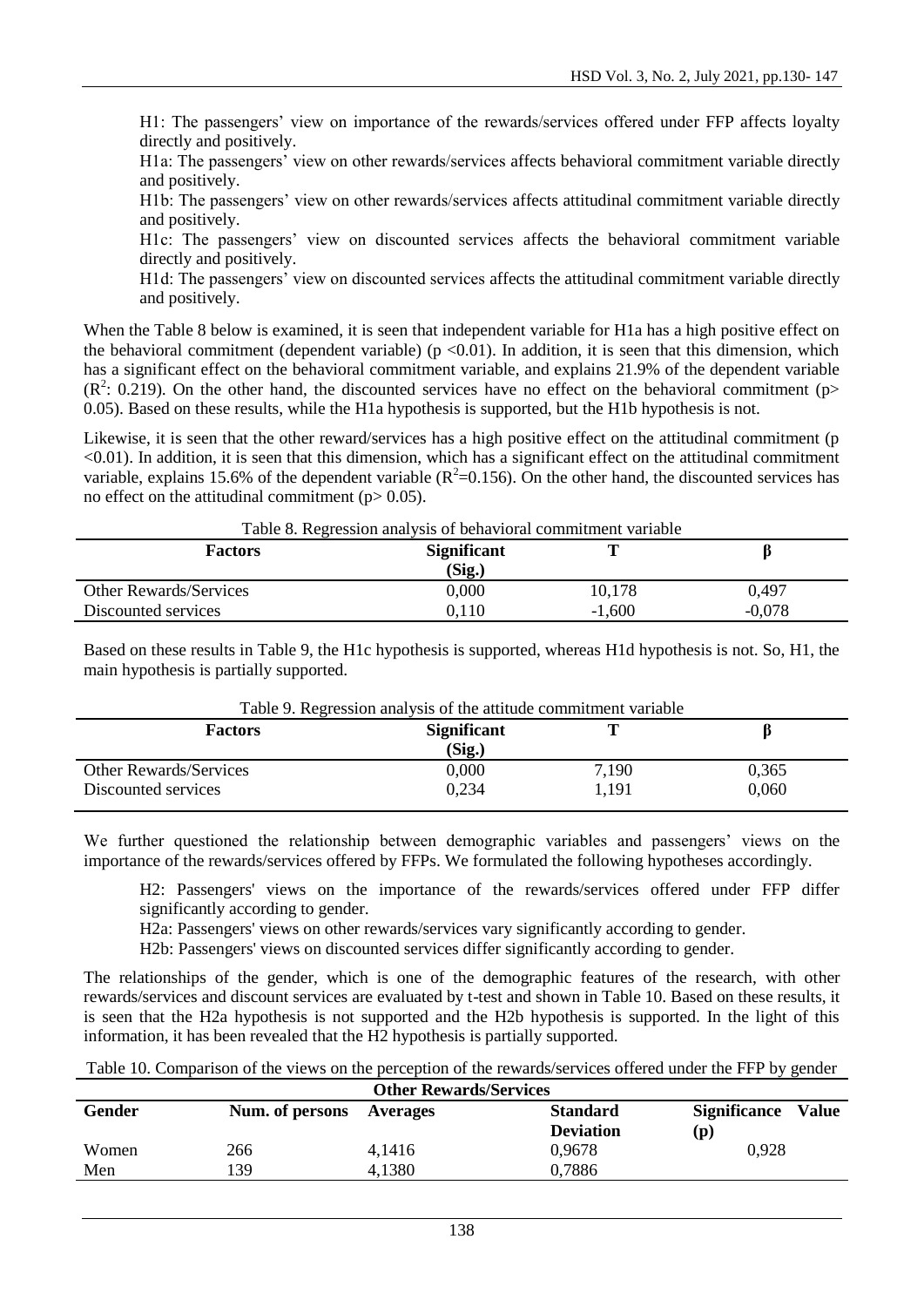H1: The passengers' view on importance of the rewards/services offered under FFP affects loyalty directly and positively.

H1a: The passengers' view on other rewards/services affects behavioral commitment variable directly and positively.

H1b: The passengers' view on other rewards/services affects attitudinal commitment variable directly and positively.

H1c: The passengers' view on discounted services affects the behavioral commitment variable directly and positively.

H1d: The passengers' view on discounted services affects the attitudinal commitment variable directly and positively.

When the Table 8 below is examined, it is seen that independent variable for H1a has a high positive effect on the behavioral commitment (dependent variable) ( $p < 0.01$ ). In addition, it is seen that this dimension, which has a significant effect on the behavioral commitment variable, and explains 21.9% of the dependent variable  $(R^2: 0.219)$ . On the other hand, the discounted services have no effect on the behavioral commitment (p> 0.05). Based on these results, while the H1a hypothesis is supported, but the H1b hypothesis is not.

Likewise, it is seen that the other reward/services has a high positive effect on the attitudinal commitment (p  $\leq 0.01$ ). In addition, it is seen that this dimension, which has a significant effect on the attitudinal commitment variable, explains 15.6% of the dependent variable ( $R^2$ =0.156). On the other hand, the discounted services has no effect on the attitudinal commitment ( $p$  > 0.05).

|  |  |  |  | Table 8. Regression analysis of behavioral commitment variable |  |
|--|--|--|--|----------------------------------------------------------------|--|
|--|--|--|--|----------------------------------------------------------------|--|

| <b>Factors</b>                | <b>Significant</b><br>(Sig.) | m        |          |
|-------------------------------|------------------------------|----------|----------|
| <b>Other Rewards/Services</b> | 0,000                        | 10,178   | 0,497    |
| Discounted services           | 0.110                        | $-1,600$ | $-0.078$ |

Based on these results in Table 9, the H1c hypothesis is supported, whereas H1d hypothesis is not. So, H1, the main hypothesis is partially supported.

Table 9. Regression analysis of the attitude commitment variable

| <b>Factors</b>                | <b>Significant</b><br>(Sig.) | m     |       |
|-------------------------------|------------------------------|-------|-------|
| <b>Other Rewards/Services</b> | 0,000                        | 7,190 | 0,365 |
| Discounted services           | 0,234                        | l,191 | 0,060 |

We further questioned the relationship between demographic variables and passengers' views on the importance of the rewards/services offered by FFPs. We formulated the following hypotheses accordingly.

H2: Passengers' views on the importance of the rewards/services offered under FFP differ significantly according to gender.

H2a: Passengers' views on other rewards/services vary significantly according to gender.

H2b: Passengers' views on discounted services differ significantly according to gender.

The relationships of the gender, which is one of the demographic features of the research, with other rewards/services and discount services are evaluated by t-test and shown in Table 10. Based on these results, it is seen that the H2a hypothesis is not supported and the H2b hypothesis is supported. In the light of this information, it has been revealed that the H2 hypothesis is partially supported.

|  | Table 10. Comparison of the views on the perception of the rewards/services offered under the FFP by gender |  |  |  |
|--|-------------------------------------------------------------------------------------------------------------|--|--|--|
|--|-------------------------------------------------------------------------------------------------------------|--|--|--|

| <b>Other Rewards/Services</b> |        |                          |                     |              |  |
|-------------------------------|--------|--------------------------|---------------------|--------------|--|
|                               |        | <b>Standard</b>          | <b>Significance</b> | <b>Value</b> |  |
|                               |        | <b>Deviation</b>         | (p)                 |              |  |
| 266                           | 4,1416 | 0,9678                   | 0,928               |              |  |
| 139                           | 4,1380 | 0,7886                   |                     |              |  |
|                               |        | Num. of persons Averages |                     |              |  |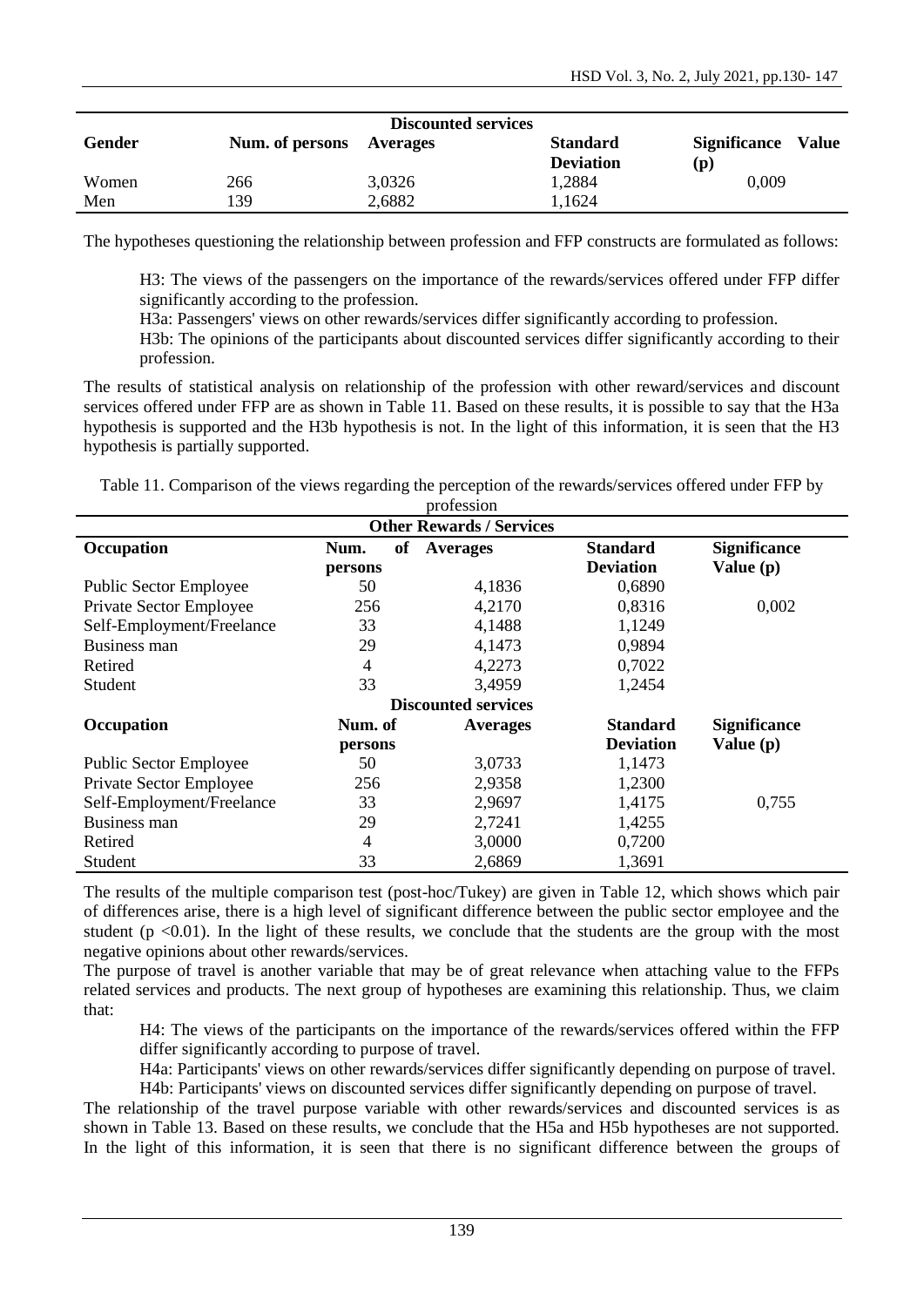|        |                 | <b>Discounted services</b> |                  |                     |       |
|--------|-----------------|----------------------------|------------------|---------------------|-------|
| Gender | Num. of persons | Averages                   | <b>Standard</b>  | <b>Significance</b> | Value |
|        |                 |                            | <b>Deviation</b> | (p)                 |       |
| Women  | 266             | 3,0326                     | .2884            | 0,009               |       |
| Men    | 39              | 2,6882                     | ,1624            |                     |       |

The hypotheses questioning the relationship between profession and FFP constructs are formulated as follows:

H3: The views of the passengers on the importance of the rewards/services offered under FFP differ significantly according to the profession.

H3a: Passengers' views on other rewards/services differ significantly according to profession.

H3b: The opinions of the participants about discounted services differ significantly according to their profession.

The results of statistical analysis on relationship of the profession with other reward/services and discount services offered under FFP are as shown in Table 11. Based on these results, it is possible to say that the H3a hypothesis is supported and the H3b hypothesis is not. In the light of this information, it is seen that the H3 hypothesis is partially supported.

Table 11. Comparison of the views regarding the perception of the rewards/services offered under FFP by profession

| <b>DI OTOBIOH</b><br><b>Other Rewards / Services</b> |                       |                            |                                     |                                    |  |
|------------------------------------------------------|-----------------------|----------------------------|-------------------------------------|------------------------------------|--|
| Occupation                                           | of<br>Num.<br>persons | Averages                   | <b>Standard</b><br><b>Deviation</b> | <b>Significance</b><br>Value $(p)$ |  |
| <b>Public Sector Employee</b>                        | 50                    | 4,1836                     | 0,6890                              |                                    |  |
| Private Sector Employee                              | 256                   | 4,2170                     | 0,8316                              | 0,002                              |  |
| Self-Employment/Freelance                            | 33                    | 4,1488                     | 1,1249                              |                                    |  |
| Business man                                         | 29                    | 4,1473                     | 0,9894                              |                                    |  |
| Retired                                              | 4                     | 4,2273                     | 0,7022                              |                                    |  |
| Student                                              | 33                    | 3,4959                     | 1,2454                              |                                    |  |
|                                                      |                       | <b>Discounted services</b> |                                     |                                    |  |
| Occupation                                           | Num. of               | <b>Averages</b>            | <b>Standard</b>                     | <b>Significance</b>                |  |
|                                                      | persons               |                            | <b>Deviation</b>                    | Value $(p)$                        |  |
| <b>Public Sector Employee</b>                        | 50                    | 3,0733                     | 1,1473                              |                                    |  |
| Private Sector Employee                              | 256                   | 2,9358                     | 1,2300                              |                                    |  |
| Self-Employment/Freelance                            | 33                    | 2,9697                     | 1,4175                              | 0,755                              |  |
| Business man                                         | 29                    | 2,7241                     | 1,4255                              |                                    |  |
| Retired                                              | 4                     | 3,0000                     | 0,7200                              |                                    |  |
| Student                                              | 33                    | 2,6869                     | 1,3691                              |                                    |  |

The results of the multiple comparison test (post-hoc/Tukey) are given in Table 12, which shows which pair of differences arise, there is a high level of significant difference between the public sector employee and the student  $(p \le 0.01)$ . In the light of these results, we conclude that the students are the group with the most negative opinions about other rewards/services.

The purpose of travel is another variable that may be of great relevance when attaching value to the FFPs related services and products. The next group of hypotheses are examining this relationship. Thus, we claim that:

H4: The views of the participants on the importance of the rewards/services offered within the FFP differ significantly according to purpose of travel.

H4a: Participants' views on other rewards/services differ significantly depending on purpose of travel.

H4b: Participants' views on discounted services differ significantly depending on purpose of travel. The relationship of the travel purpose variable with other rewards/services and discounted services is as shown in Table 13. Based on these results, we conclude that the H5a and H5b hypotheses are not supported. In the light of this information, it is seen that there is no significant difference between the groups of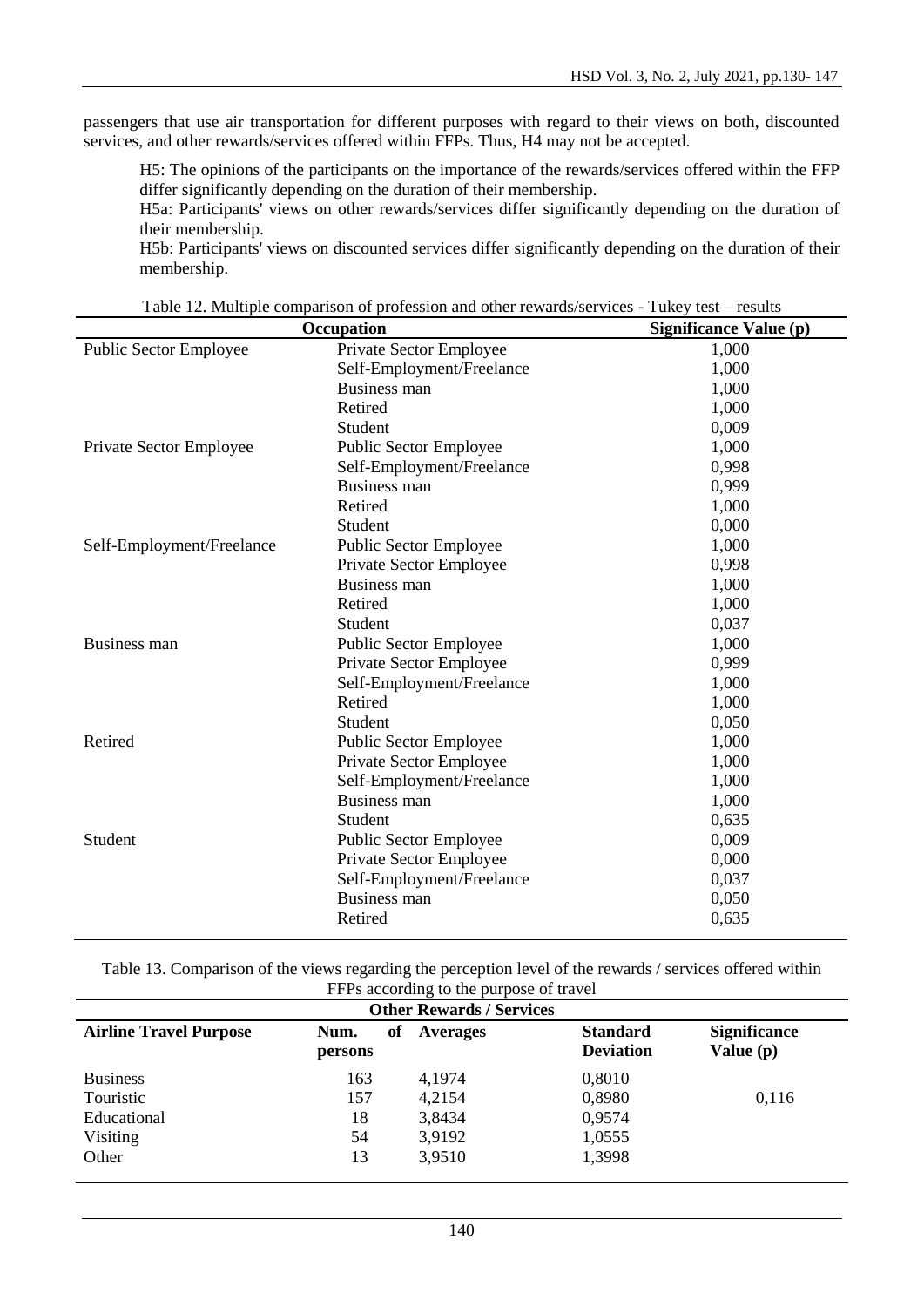passengers that use air transportation for different purposes with regard to their views on both, discounted services, and other rewards/services offered within FFPs. Thus, H4 may not be accepted.

H5: The opinions of the participants on the importance of the rewards/services offered within the FFP differ significantly depending on the duration of their membership.

H5a: Participants' views on other rewards/services differ significantly depending on the duration of their membership.

H5b: Participants' views on discounted services differ significantly depending on the duration of their membership.

|                           | Occupation                    | <b>Significance Value (p)</b> |
|---------------------------|-------------------------------|-------------------------------|
| Public Sector Employee    | Private Sector Employee       | 1,000                         |
|                           | Self-Employment/Freelance     | 1,000                         |
|                           | Business man                  | 1,000                         |
|                           | Retired                       | 1,000                         |
|                           | Student                       | 0,009                         |
| Private Sector Employee   | Public Sector Employee        | 1,000                         |
|                           | Self-Employment/Freelance     | 0,998                         |
|                           | <b>Business man</b>           | 0,999                         |
|                           | Retired                       | 1,000                         |
|                           | Student                       | 0,000                         |
| Self-Employment/Freelance | <b>Public Sector Employee</b> | 1,000                         |
|                           | Private Sector Employee       | 0,998                         |
|                           | Business man                  | 1,000                         |
|                           | Retired                       | 1,000                         |
|                           | Student                       | 0,037                         |
| Business man              | Public Sector Employee        | 1,000                         |
|                           | Private Sector Employee       | 0,999                         |
|                           | Self-Employment/Freelance     | 1,000                         |
|                           | Retired                       | 1,000                         |
|                           | Student                       | 0,050                         |
| Retired                   | Public Sector Employee        | 1,000                         |
|                           | Private Sector Employee       | 1,000                         |
|                           | Self-Employment/Freelance     | 1,000                         |
|                           | Business man                  | 1,000                         |
|                           | Student                       | 0,635                         |
| Student                   | Public Sector Employee        | 0,009                         |
|                           | Private Sector Employee       | 0,000                         |
|                           | Self-Employment/Freelance     | 0,037                         |
|                           | Business man                  | 0,050                         |
|                           | Retired                       | 0,635                         |

Table 12. Multiple comparison of profession and other rewards/services - Tukey test – results

Table 13. Comparison of the views regarding the perception level of the rewards / services offered within FFPs according to the purpose of travel

| <b>Other Rewards / Services</b> |                 |    |          |                                     |                                    |  |
|---------------------------------|-----------------|----|----------|-------------------------------------|------------------------------------|--|
| <b>Airline Travel Purpose</b>   | Num.<br>persons | of | Averages | <b>Standard</b><br><b>Deviation</b> | <b>Significance</b><br>Value $(p)$ |  |
| <b>Business</b>                 | 163             |    | 4,1974   | 0,8010                              |                                    |  |
| Touristic                       | 157             |    | 4,2154   | 0,8980                              | 0,116                              |  |
| Educational                     | 18              |    | 3,8434   | 0,9574                              |                                    |  |
| Visiting                        | 54              |    | 3,9192   | 1,0555                              |                                    |  |
| Other                           | 13              |    | 3,9510   | 1,3998                              |                                    |  |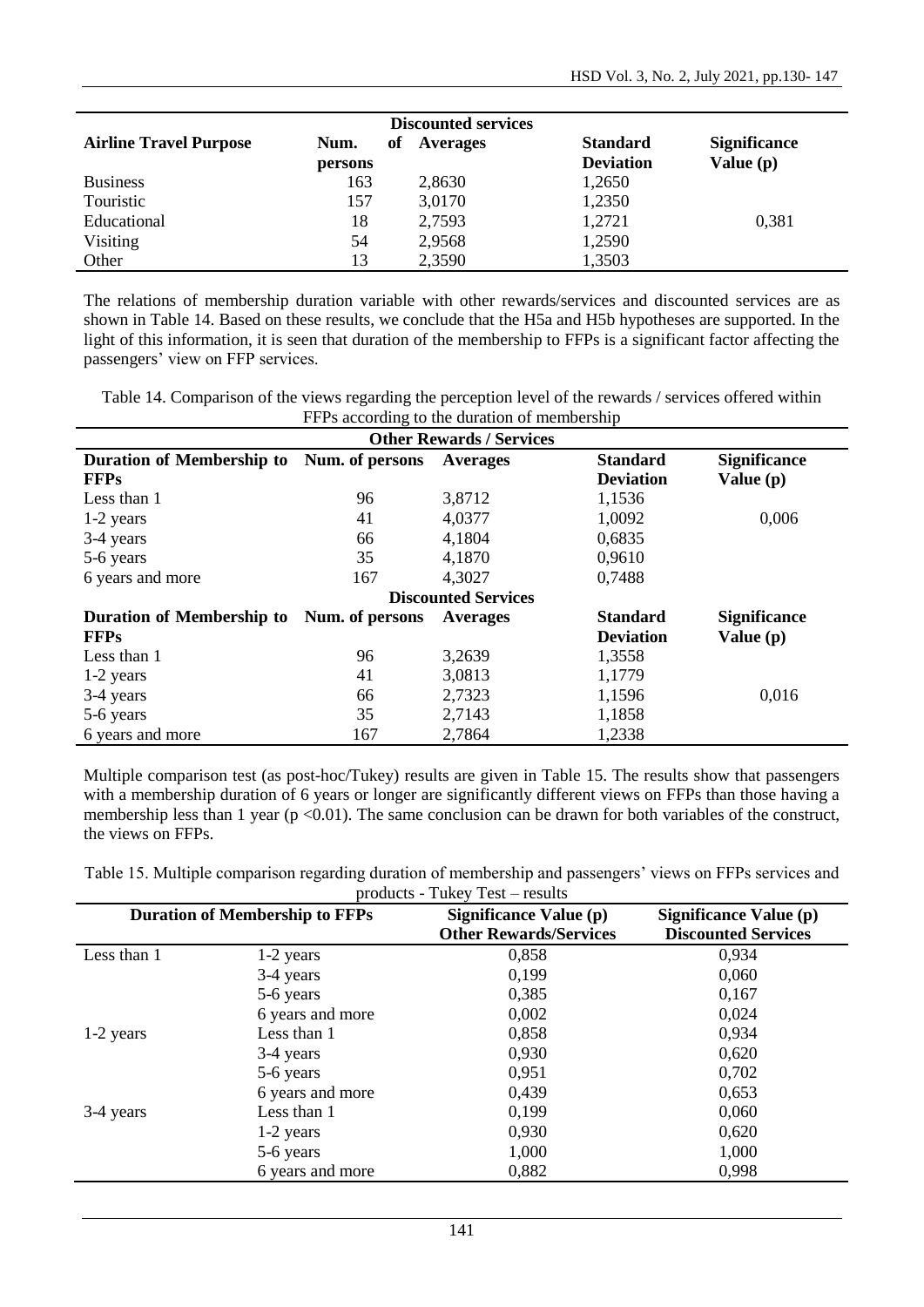|                               |                 |    | <b>Discounted services</b> |                                     |                                    |
|-------------------------------|-----------------|----|----------------------------|-------------------------------------|------------------------------------|
| <b>Airline Travel Purpose</b> | Num.<br>persons | оf | Averages                   | <b>Standard</b><br><b>Deviation</b> | <b>Significance</b><br>Value $(p)$ |
| <b>Business</b>               | 163             |    | 2,8630                     | 1,2650                              |                                    |
| Touristic                     | 157             |    | 3,0170                     | 1,2350                              |                                    |
| Educational                   | 18              |    | 2,7593                     | 1,2721                              | 0,381                              |
| Visiting                      | 54              |    | 2,9568                     | 1,2590                              |                                    |
| Other                         | 13              |    | 2,3590                     | 1,3503                              |                                    |

The relations of membership duration variable with other rewards/services and discounted services are as shown in Table 14. Based on these results, we conclude that the H5a and H5b hypotheses are supported. In the light of this information, it is seen that duration of the membership to FFPs is a significant factor affecting the passengers' view on FFP services.

Table 14. Comparison of the views regarding the perception level of the rewards / services offered within FFPs according to the duration of membership

| <b>Other Rewards / Services</b>  |                 |                            |                  |                     |  |
|----------------------------------|-----------------|----------------------------|------------------|---------------------|--|
| <b>Duration of Membership to</b> | Num. of persons | Averages                   | <b>Standard</b>  | <b>Significance</b> |  |
| <b>FFPs</b>                      |                 |                            | <b>Deviation</b> | Value $(p)$         |  |
| Less than 1                      | 96              | 3,8712                     | 1,1536           |                     |  |
| 1-2 years                        | 41              | 4,0377                     | 1,0092           | 0,006               |  |
| 3-4 years                        | 66              | 4,1804                     | 0,6835           |                     |  |
| 5-6 years                        | 35              | 4,1870                     | 0,9610           |                     |  |
| 6 years and more                 | 167             | 4,3027                     | 0,7488           |                     |  |
|                                  |                 | <b>Discounted Services</b> |                  |                     |  |
| <b>Duration of Membership to</b> | Num. of persons | <b>Averages</b>            | <b>Standard</b>  | <b>Significance</b> |  |
| <b>FFPs</b>                      |                 |                            | <b>Deviation</b> | Value $(p)$         |  |
| Less than 1                      | 96              | 3,2639                     | 1,3558           |                     |  |
| 1-2 years                        | 41              | 3,0813                     | 1,1779           |                     |  |
| 3-4 years                        | 66              | 2,7323                     | 1,1596           | 0,016               |  |
| 5-6 years                        | 35              | 2,7143                     | 1,1858           |                     |  |
| 6 years and more                 | 167             | 2,7864                     | 1,2338           |                     |  |

Multiple comparison test (as post-hoc/Tukey) results are given in Table 15. The results show that passengers with a membership duration of 6 years or longer are significantly different views on FFPs than those having a membership less than 1 year ( $p \le 0.01$ ). The same conclusion can be drawn for both variables of the construct, the views on FFPs.

Table 15. Multiple comparison regarding duration of membership and passengers' views on FFPs services and products - Tukey Test – results

|             | <b>Duration of Membership to FFPs</b> | Significance Value (p)<br><b>Other Rewards/Services</b> | Significance Value (p)<br><b>Discounted Services</b> |
|-------------|---------------------------------------|---------------------------------------------------------|------------------------------------------------------|
| Less than 1 | 1-2 years                             | 0,858                                                   | 0,934                                                |
|             | 3-4 years                             | 0,199                                                   | 0,060                                                |
|             | 5-6 years                             | 0,385                                                   | 0,167                                                |
|             | 6 years and more                      | 0,002                                                   | 0,024                                                |
| 1-2 years   | Less than 1                           | 0,858                                                   | 0,934                                                |
|             | 3-4 years                             | 0,930                                                   | 0,620                                                |
|             | 5-6 years                             | 0.951                                                   | 0,702                                                |
|             | 6 years and more                      | 0,439                                                   | 0,653                                                |
| 3-4 years   | Less than 1                           | 0,199                                                   | 0,060                                                |
|             | 1-2 years                             | 0.930                                                   | 0,620                                                |
|             | 5-6 years                             | 1,000                                                   | 1,000                                                |
|             | 6 years and more                      | 0,882                                                   | 0,998                                                |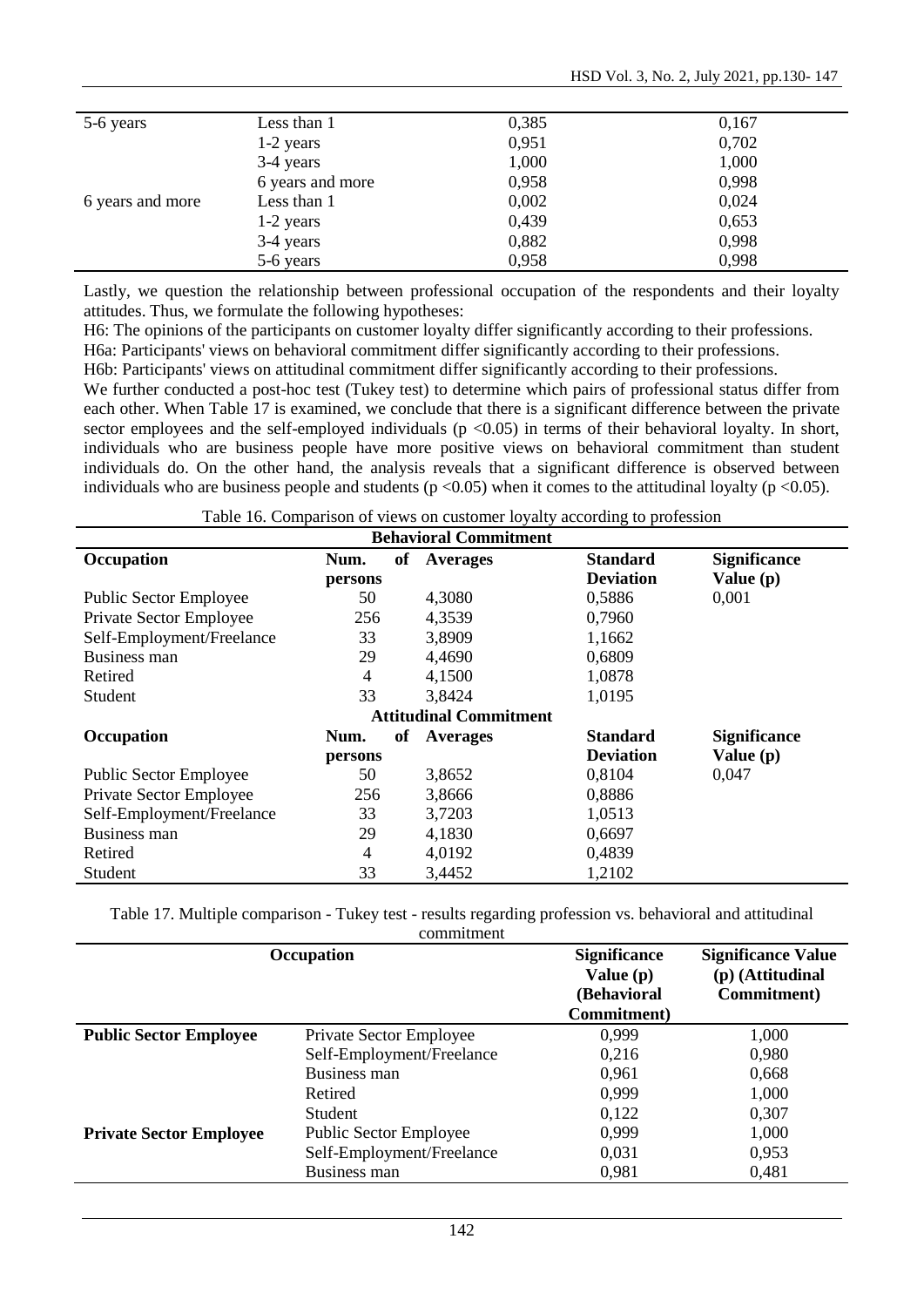| 0,385<br>Less than 1<br>0,167<br>5-6 years        |  |
|---------------------------------------------------|--|
| 0,702<br>0,951<br>1-2 years                       |  |
| 1,000<br>1,000<br>3-4 years                       |  |
| 0,998<br>6 years and more<br>0,958                |  |
| 0,024<br>0,002<br>Less than 1<br>6 years and more |  |
| 0,653<br>0,439<br>1-2 years                       |  |
| 0,998<br>0,882<br>3-4 years                       |  |
| 0,998<br>5-6 years<br>0,958                       |  |

Lastly, we question the relationship between professional occupation of the respondents and their loyalty attitudes. Thus, we formulate the following hypotheses:

H6: The opinions of the participants on customer loyalty differ significantly according to their professions. H6a: Participants' views on behavioral commitment differ significantly according to their professions. H6b: Participants' views on attitudinal commitment differ significantly according to their professions. We further conducted a post-hoc test (Tukey test) to determine which pairs of professional status differ from each other. When Table 17 is examined, we conclude that there is a significant difference between the private sector employees and the self-employed individuals  $(p < 0.05)$  in terms of their behavioral loyalty. In short, individuals who are business people have more positive views on behavioral commitment than student individuals do. On the other hand, the analysis reveals that a significant difference is observed between individuals who are business people and students ( $p < 0.05$ ) when it comes to the attitudinal loyalty ( $p < 0.05$ ).

Table 16. Comparison of views on customer loyalty according to profession

| <b>Behavioral Commitment</b>  |         |    |                               |                  |                     |
|-------------------------------|---------|----|-------------------------------|------------------|---------------------|
| Occupation                    | Num.    | of | <b>Averages</b>               | <b>Standard</b>  | <b>Significance</b> |
|                               | persons |    |                               | <b>Deviation</b> | Value $(p)$         |
| <b>Public Sector Employee</b> | 50      |    | 4,3080                        | 0,5886           | 0,001               |
| Private Sector Employee       | 256     |    | 4,3539                        | 0,7960           |                     |
| Self-Employment/Freelance     | 33      |    | 3,8909                        | 1,1662           |                     |
| <b>Business man</b>           | 29      |    | 4,4690                        | 0,6809           |                     |
| Retired                       | 4       |    | 4,1500                        | 1,0878           |                     |
| Student                       | 33      |    | 3,8424                        | 1,0195           |                     |
|                               |         |    | <b>Attitudinal Commitment</b> |                  |                     |
| Occupation                    | Num.    | of | <b>Averages</b>               | <b>Standard</b>  | <b>Significance</b> |
|                               | persons |    |                               | <b>Deviation</b> | Value $(p)$         |
| <b>Public Sector Employee</b> | 50      |    | 3,8652                        | 0,8104           | 0,047               |
| Private Sector Employee       | 256     |    | 3,8666                        | 0,8886           |                     |
| Self-Employment/Freelance     | 33      |    | 3,7203                        | 1,0513           |                     |
| Business man                  | 29      |    | 4,1830                        | 0,6697           |                     |
| Retired                       | 4       |    | 4,0192                        | 0,4839           |                     |
| Student                       | 33      |    | 3,4452                        | 1,2102           |                     |

Table 17. Multiple comparison - Tukey test - results regarding profession vs. behavioral and attitudinal commitment

| Occupation                     |                               | <b>Significance</b><br>Value $(p)$<br>(Behavioral<br>Commitment) | <b>Significance Value</b><br>(p) (Attitudinal<br>Commitment) |
|--------------------------------|-------------------------------|------------------------------------------------------------------|--------------------------------------------------------------|
| <b>Public Sector Employee</b>  | Private Sector Employee       | 0,999                                                            | 1,000                                                        |
|                                | Self-Employment/Freelance     | 0,216                                                            | 0,980                                                        |
|                                | Business man                  | 0.961                                                            | 0,668                                                        |
|                                | Retired                       | 0,999                                                            | 1,000                                                        |
|                                | Student                       | 0,122                                                            | 0,307                                                        |
| <b>Private Sector Employee</b> | <b>Public Sector Employee</b> | 0.999                                                            | 1,000                                                        |
|                                | Self-Employment/Freelance     | 0,031                                                            | 0,953                                                        |
|                                | Business man                  | 0,981                                                            | 0,481                                                        |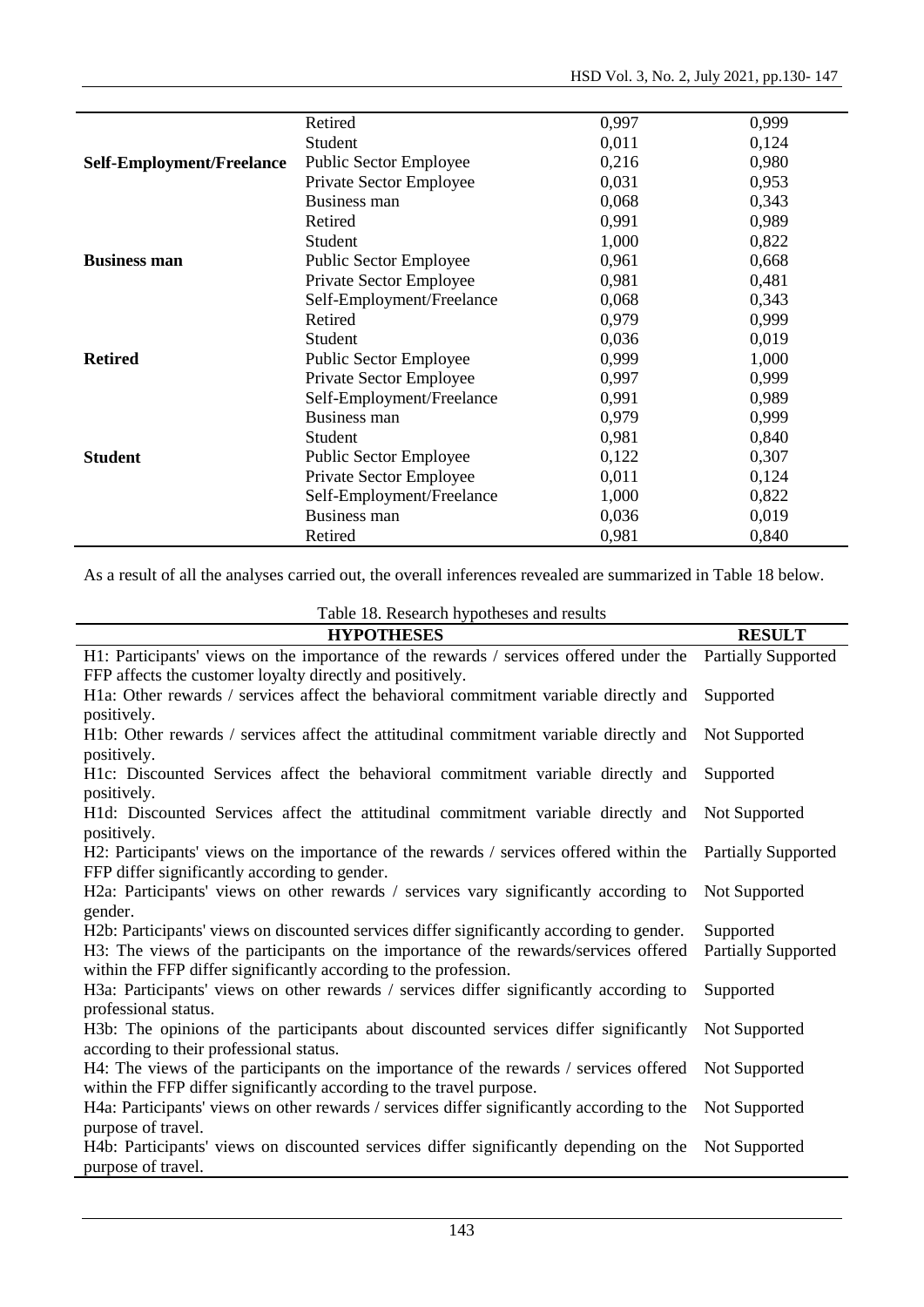|                                  | Retired                       | 0,997 | 0,999 |  |
|----------------------------------|-------------------------------|-------|-------|--|
|                                  | Student                       | 0,011 | 0,124 |  |
| <b>Self-Employment/Freelance</b> | Public Sector Employee        | 0,216 | 0,980 |  |
|                                  | Private Sector Employee       | 0,031 | 0,953 |  |
|                                  | Business man                  | 0,068 | 0,343 |  |
|                                  | Retired                       | 0,991 | 0,989 |  |
| <b>Business man</b>              | Student                       | 1,000 | 0,822 |  |
|                                  | <b>Public Sector Employee</b> | 0,961 | 0,668 |  |
|                                  | Private Sector Employee       | 0,981 | 0,481 |  |
|                                  | Self-Employment/Freelance     | 0,068 | 0,343 |  |
|                                  | Retired                       | 0,979 | 0,999 |  |
|                                  | Student                       | 0,036 | 0,019 |  |
| <b>Retired</b>                   | <b>Public Sector Employee</b> | 0,999 | 1,000 |  |
|                                  | Private Sector Employee       | 0,997 | 0,999 |  |
|                                  | Self-Employment/Freelance     | 0,991 | 0,989 |  |
|                                  | Business man                  | 0,979 | 0,999 |  |
|                                  | Student                       | 0,981 | 0,840 |  |
| <b>Student</b>                   | <b>Public Sector Employee</b> | 0,122 | 0,307 |  |
|                                  | Private Sector Employee       | 0,011 | 0,124 |  |
|                                  | Self-Employment/Freelance     | 1,000 | 0,822 |  |
|                                  | Business man                  | 0,036 | 0,019 |  |
|                                  | Retired                       | 0,981 | 0,840 |  |

As a result of all the analyses carried out, the overall inferences revealed are summarized in Table 18 below.

 $\overline{a}$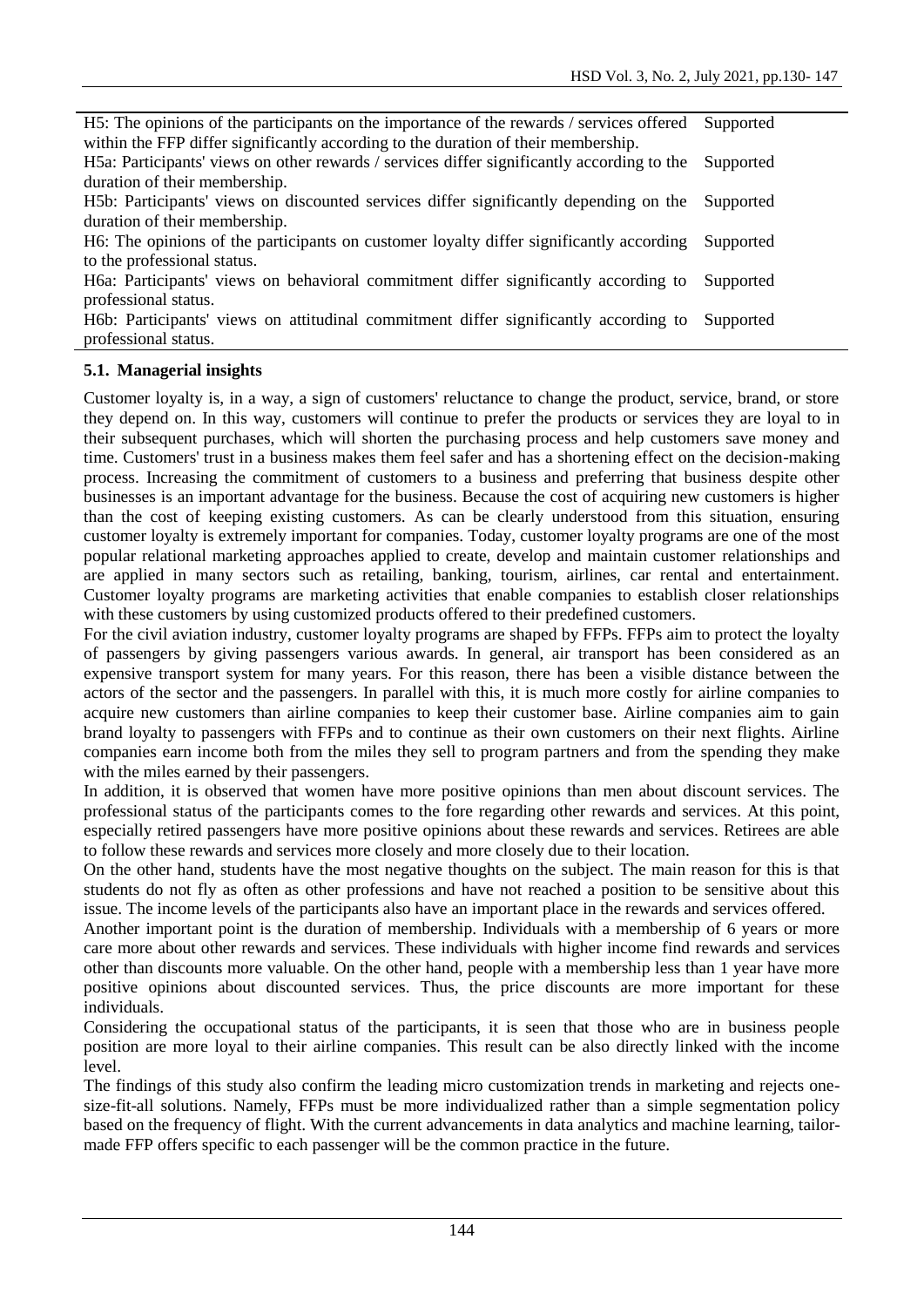H5: The opinions of the participants on the importance of the rewards / services offered within the FFP differ significantly according to the duration of their membership. Supported

H5a: Participants' views on other rewards / services differ significantly according to the duration of their membership. Supported

H5b: Participants' views on discounted services differ significantly depending on the duration of their membership. Supported

H6: The opinions of the participants on customer loyalty differ significantly according to the professional status. Supported

H6a: Participants' views on behavioral commitment differ significantly according to professional status. Supported

H6b: Participants' views on attitudinal commitment differ significantly according to professional status. Supported

#### **5.1. Managerial insights**

Customer loyalty is, in a way, a sign of customers' reluctance to change the product, service, brand, or store they depend on. In this way, customers will continue to prefer the products or services they are loyal to in their subsequent purchases, which will shorten the purchasing process and help customers save money and time. Customers' trust in a business makes them feel safer and has a shortening effect on the decision-making process. Increasing the commitment of customers to a business and preferring that business despite other businesses is an important advantage for the business. Because the cost of acquiring new customers is higher than the cost of keeping existing customers. As can be clearly understood from this situation, ensuring customer loyalty is extremely important for companies. Today, customer loyalty programs are one of the most popular relational marketing approaches applied to create, develop and maintain customer relationships and are applied in many sectors such as retailing, banking, tourism, airlines, car rental and entertainment. Customer loyalty programs are marketing activities that enable companies to establish closer relationships with these customers by using customized products offered to their predefined customers.

For the civil aviation industry, customer loyalty programs are shaped by FFPs. FFPs aim to protect the loyalty of passengers by giving passengers various awards. In general, air transport has been considered as an expensive transport system for many years. For this reason, there has been a visible distance between the actors of the sector and the passengers. In parallel with this, it is much more costly for airline companies to acquire new customers than airline companies to keep their customer base. Airline companies aim to gain brand loyalty to passengers with FFPs and to continue as their own customers on their next flights. Airline companies earn income both from the miles they sell to program partners and from the spending they make with the miles earned by their passengers.

In addition, it is observed that women have more positive opinions than men about discount services. The professional status of the participants comes to the fore regarding other rewards and services. At this point, especially retired passengers have more positive opinions about these rewards and services. Retirees are able to follow these rewards and services more closely and more closely due to their location.

On the other hand, students have the most negative thoughts on the subject. The main reason for this is that students do not fly as often as other professions and have not reached a position to be sensitive about this issue. The income levels of the participants also have an important place in the rewards and services offered.

Another important point is the duration of membership. Individuals with a membership of 6 years or more care more about other rewards and services. These individuals with higher income find rewards and services other than discounts more valuable. On the other hand, people with a membership less than 1 year have more positive opinions about discounted services. Thus, the price discounts are more important for these individuals.

Considering the occupational status of the participants, it is seen that those who are in business people position are more loyal to their airline companies. This result can be also directly linked with the income level.

The findings of this study also confirm the leading micro customization trends in marketing and rejects onesize-fit-all solutions. Namely, FFPs must be more individualized rather than a simple segmentation policy based on the frequency of flight. With the current advancements in data analytics and machine learning, tailormade FFP offers specific to each passenger will be the common practice in the future.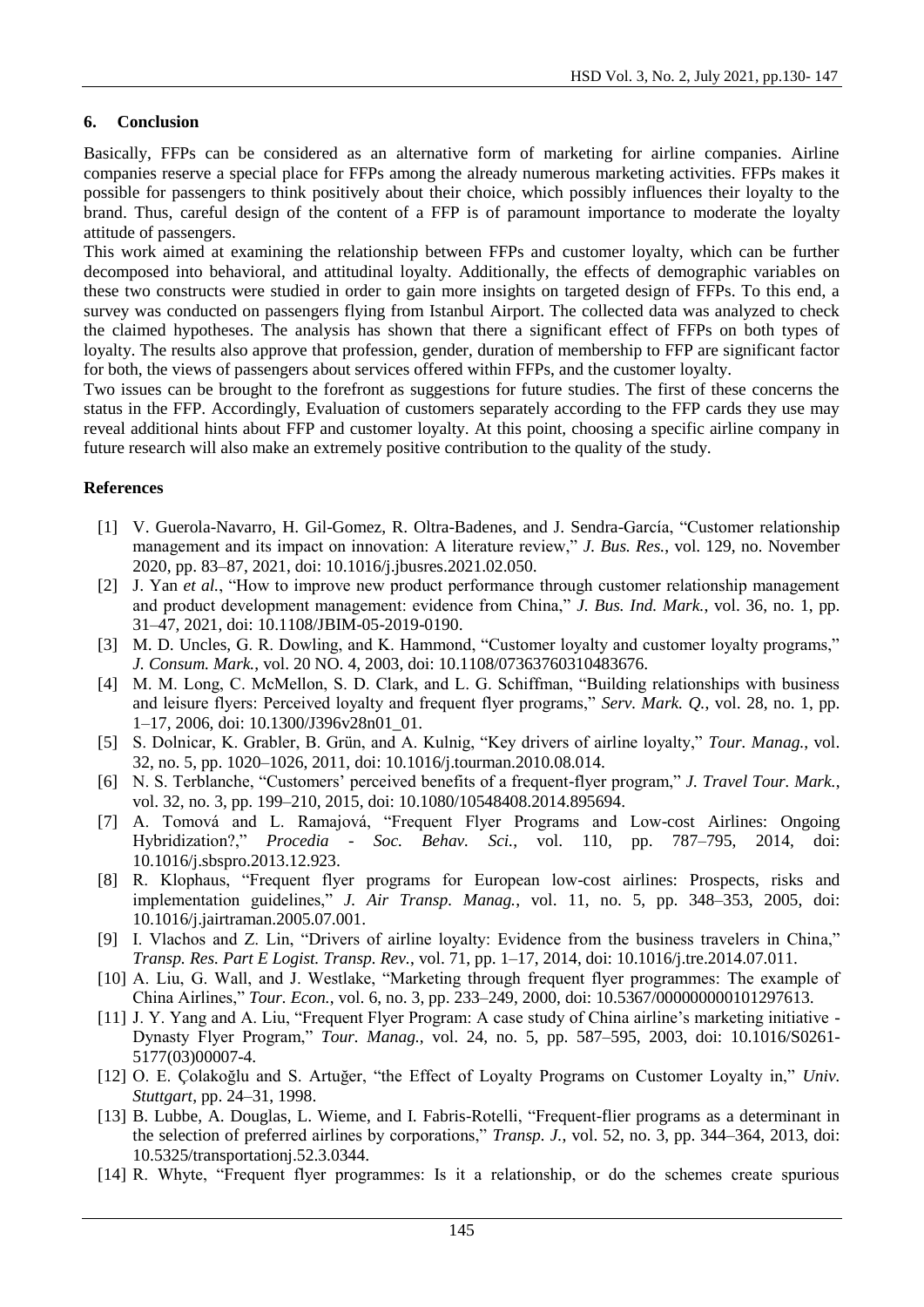## **6. Conclusion**

Basically, FFPs can be considered as an alternative form of marketing for airline companies. Airline companies reserve a special place for FFPs among the already numerous marketing activities. FFPs makes it possible for passengers to think positively about their choice, which possibly influences their loyalty to the brand. Thus, careful design of the content of a FFP is of paramount importance to moderate the loyalty attitude of passengers.

This work aimed at examining the relationship between FFPs and customer loyalty, which can be further decomposed into behavioral, and attitudinal loyalty. Additionally, the effects of demographic variables on these two constructs were studied in order to gain more insights on targeted design of FFPs. To this end, a survey was conducted on passengers flying from Istanbul Airport. The collected data was analyzed to check the claimed hypotheses. The analysis has shown that there a significant effect of FFPs on both types of loyalty. The results also approve that profession, gender, duration of membership to FFP are significant factor for both, the views of passengers about services offered within FFPs, and the customer loyalty.

Two issues can be brought to the forefront as suggestions for future studies. The first of these concerns the status in the FFP. Accordingly, Evaluation of customers separately according to the FFP cards they use may reveal additional hints about FFP and customer loyalty. At this point, choosing a specific airline company in future research will also make an extremely positive contribution to the quality of the study.

#### **References**

- [1] V. Guerola-Navarro, H. Gil-Gomez, R. Oltra-Badenes, and J. Sendra-García, "Customer relationship management and its impact on innovation: A literature review," *J. Bus. Res.*, vol. 129, no. November 2020, pp. 83–87, 2021, doi: 10.1016/j.jbusres.2021.02.050.
- [2] J. Yan *et al.*, "How to improve new product performance through customer relationship management and product development management: evidence from China," *J. Bus. Ind. Mark.*, vol. 36, no. 1, pp. 31–47, 2021, doi: 10.1108/JBIM-05-2019-0190.
- [3] M. D. Uncles, G. R. Dowling, and K. Hammond, "Customer loyalty and customer loyalty programs," *J. Consum. Mark.*, vol. 20 NO. 4, 2003, doi: 10.1108/07363760310483676.
- [4] M. M. Long, C. McMellon, S. D. Clark, and L. G. Schiffman, "Building relationships with business and leisure flyers: Perceived loyalty and frequent flyer programs," *Serv. Mark. Q.*, vol. 28, no. 1, pp. 1–17, 2006, doi: 10.1300/J396v28n01\_01.
- [5] S. Dolnicar, K. Grabler, B. Grün, and A. Kulnig, "Key drivers of airline loyalty," *Tour. Manag.*, vol. 32, no. 5, pp. 1020–1026, 2011, doi: 10.1016/j.tourman.2010.08.014.
- [6] N. S. Terblanche, "Customers' perceived benefits of a frequent-flyer program," *J. Travel Tour. Mark.*, vol. 32, no. 3, pp. 199–210, 2015, doi: 10.1080/10548408.2014.895694.
- [7] A. Tomová and L. Ramajová, "Frequent Flyer Programs and Low-cost Airlines: Ongoing Hybridization?," *Procedia - Soc. Behav. Sci.*, vol. 110, pp. 787–795, 2014, doi: 10.1016/j.sbspro.2013.12.923.
- [8] R. Klophaus, "Frequent flyer programs for European low-cost airlines: Prospects, risks and implementation guidelines," *J. Air Transp. Manag.*, vol. 11, no. 5, pp. 348–353, 2005, doi: 10.1016/j.jairtraman.2005.07.001.
- [9] I. Vlachos and Z. Lin, "Drivers of airline loyalty: Evidence from the business travelers in China," *Transp. Res. Part E Logist. Transp. Rev.*, vol. 71, pp. 1–17, 2014, doi: 10.1016/j.tre.2014.07.011.
- [10] A. Liu, G. Wall, and J. Westlake, "Marketing through frequent flyer programmes: The example of China Airlines," *Tour. Econ.*, vol. 6, no. 3, pp. 233–249, 2000, doi: 10.5367/000000000101297613.
- [11] J. Y. Yang and A. Liu, "Frequent Flyer Program: A case study of China airline's marketing initiative Dynasty Flyer Program," *Tour. Manag.*, vol. 24, no. 5, pp. 587–595, 2003, doi: 10.1016/S0261- 5177(03)00007-4.
- [12] O. E. Çolakoğlu and S. Artuğer, "the Effect of Loyalty Programs on Customer Loyalty in," *Univ. Stuttgart*, pp. 24–31, 1998.
- [13] B. Lubbe, A. Douglas, L. Wieme, and I. Fabris-Rotelli, "Frequent-flier programs as a determinant in the selection of preferred airlines by corporations," *Transp. J.*, vol. 52, no. 3, pp. 344–364, 2013, doi: 10.5325/transportationj.52.3.0344.
- [14] R. Whyte, "Frequent flyer programmes: Is it a relationship, or do the schemes create spurious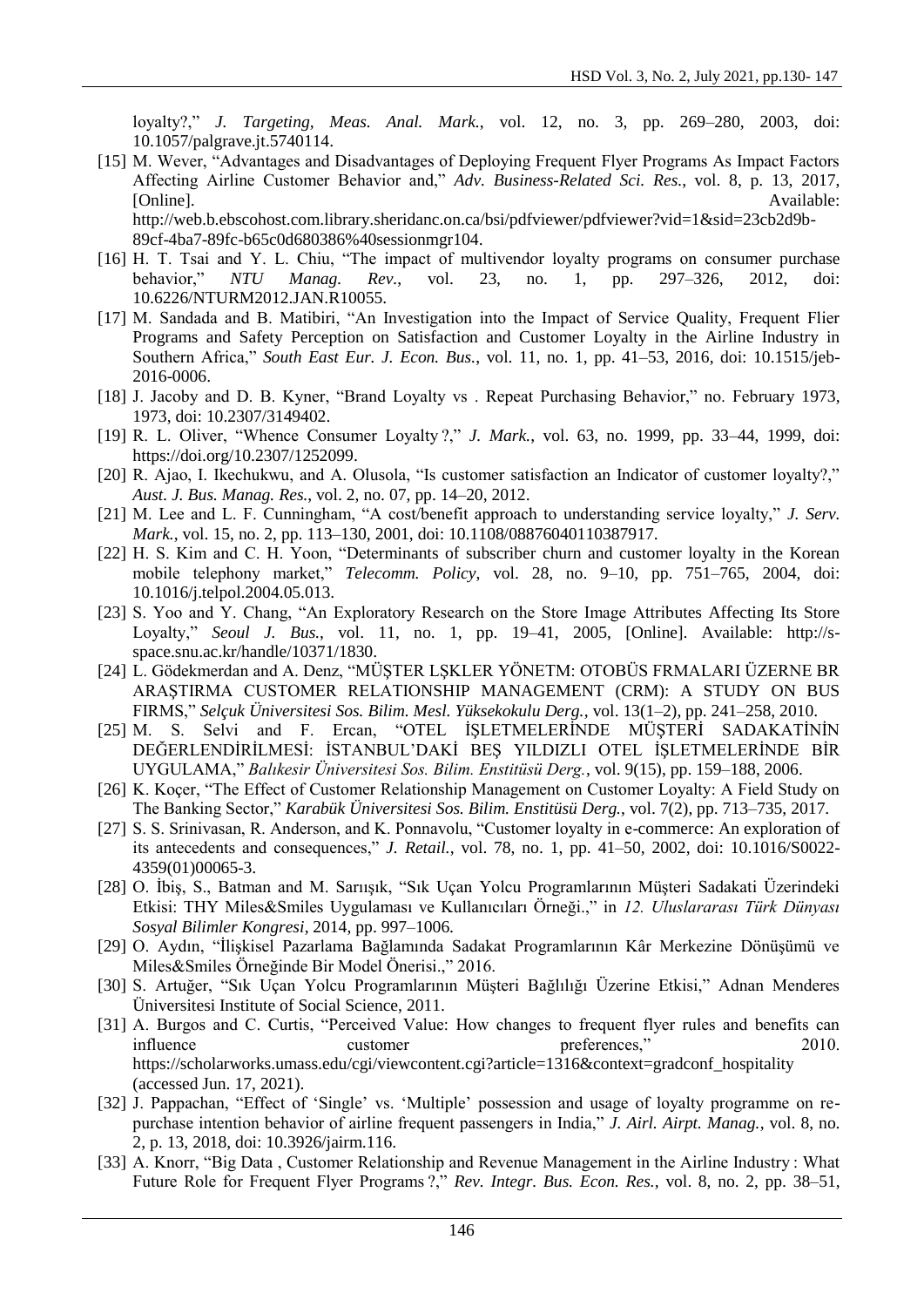loyalty?," *J. Targeting, Meas. Anal. Mark.*, vol. 12, no. 3, pp. 269–280, 2003, doi: 10.1057/palgrave.jt.5740114.

[15] M. Wever, "Advantages and Disadvantages of Deploying Frequent Flyer Programs As Impact Factors Affecting Airline Customer Behavior and," *Adv. Business-Related Sci. Res.*, vol. 8, p. 13, 2017, [Online]. Available: http://web.b.ebscohost.com.library.sheridanc.on.ca/bsi/pdfviewer/pdfviewer?vid=1&sid=23cb2d9b-

89cf-4ba7-89fc-b65c0d680386%40sessionmgr104.

- [16] H. T. Tsai and Y. L. Chiu, "The impact of multivendor loyalty programs on consumer purchase behavior," *NTU Manag. Rev.*, vol. 23, no. 1, pp. 297–326, 2012, doi: 10.6226/NTURM2012.JAN.R10055.
- [17] M. Sandada and B. Matibiri, "An Investigation into the Impact of Service Quality, Frequent Flier Programs and Safety Perception on Satisfaction and Customer Loyalty in the Airline Industry in Southern Africa," *South East Eur. J. Econ. Bus.*, vol. 11, no. 1, pp. 41–53, 2016, doi: 10.1515/jeb-2016-0006.
- [18] J. Jacoby and D. B. Kyner, "Brand Loyalty vs . Repeat Purchasing Behavior," no. February 1973, 1973, doi: 10.2307/3149402.
- [19] R. L. Oliver, "Whence Consumer Loyalty ?," *J. Mark.*, vol. 63, no. 1999, pp. 33–44, 1999, doi: https://doi.org/10.2307/1252099.
- [20] R. Ajao, I. Ikechukwu, and A. Olusola, "Is customer satisfaction an Indicator of customer loyalty?," *Aust. J. Bus. Manag. Res.*, vol. 2, no. 07, pp. 14–20, 2012.
- [21] M. Lee and L. F. Cunningham, "A cost/benefit approach to understanding service loyalty," *J. Serv. Mark.*, vol. 15, no. 2, pp. 113–130, 2001, doi: 10.1108/08876040110387917.
- [22] H. S. Kim and C. H. Yoon, "Determinants of subscriber churn and customer loyalty in the Korean mobile telephony market," *Telecomm. Policy*, vol. 28, no. 9–10, pp. 751–765, 2004, doi: 10.1016/j.telpol.2004.05.013.
- [23] S. Yoo and Y. Chang, "An Exploratory Research on the Store Image Attributes Affecting Its Store Loyalty," *Seoul J. Bus.*, vol. 11, no. 1, pp. 19–41, 2005, [Online]. Available: http://sspace.snu.ac.kr/handle/10371/1830.
- [24] L. Gödekmerdan and A. Denz, "MÜŞTER LŞKLER YÖNETM: OTOBÜS FRMALARI ÜZERNE BR ARAŞTIRMA CUSTOMER RELATIONSHIP MANAGEMENT (CRM): A STUDY ON BUS FIRMS," *Selçuk Üniversitesi Sos. Bilim. Mesl. Yüksekokulu Derg.*, vol. 13(1–2), pp. 241–258, 2010.
- [25] M. S. Selvi and F. Ercan, "OTEL İŞLETMELERİNDE MÜŞTERİ SADAKATİNİN DEĞERLENDİRİLMESİ: İSTANBUL'DAKİ BEŞ YILDIZLI OTEL İŞLETMELERİNDE BİR UYGULAMA," *Balıkesir Üniversitesi Sos. Bilim. Enstitüsü Derg.*, vol. 9(15), pp. 159–188, 2006.
- [26] K. Koçer, "The Effect of Customer Relationship Management on Customer Loyalty: A Field Study on The Banking Sector," *Karabük Üniversitesi Sos. Bilim. Enstitüsü Derg.*, vol. 7(2), pp. 713–735, 2017.
- [27] S. S. Srinivasan, R. Anderson, and K. Ponnavolu, "Customer loyalty in e-commerce: An exploration of its antecedents and consequences," *J. Retail.*, vol. 78, no. 1, pp. 41–50, 2002, doi: 10.1016/S0022- 4359(01)00065-3.
- [28] O. İbiş, S., Batman and M. Sarıışık, "Sık Uçan Yolcu Programlarının Müşteri Sadakati Üzerindeki Etkisi: THY Miles&Smiles Uygulaması ve Kullanıcıları Örneği.," in *12. Uluslararası Türk Dünyası Sosyal Bilimler Kongresi*, 2014, pp. 997–1006.
- [29] O. Aydın, "İlişkisel Pazarlama Bağlamında Sadakat Programlarının Kâr Merkezine Dönüşümü ve Miles&Smiles Örneğinde Bir Model Önerisi.," 2016.
- [30] S. Artuğer, "Sık Uçan Yolcu Programlarının Müşteri Bağlılığı Üzerine Etkisi," Adnan Menderes Üniversitesi Institute of Social Science, 2011.
- [31] A. Burgos and C. Curtis, "Perceived Value: How changes to frequent flyer rules and benefits can influence customer preferences," 2010. https://scholarworks.umass.edu/cgi/viewcontent.cgi?article=1316&context=gradconf\_hospitality (accessed Jun. 17, 2021).
- [32] J. Pappachan, "Effect of 'Single' vs. 'Multiple' possession and usage of loyalty programme on repurchase intention behavior of airline frequent passengers in India," *J. Airl. Airpt. Manag.*, vol. 8, no. 2, p. 13, 2018, doi: 10.3926/jairm.116.
- [33] A. Knorr, "Big Data , Customer Relationship and Revenue Management in the Airline Industry : What Future Role for Frequent Flyer Programs ?," *Rev. Integr. Bus. Econ. Res.*, vol. 8, no. 2, pp. 38–51,